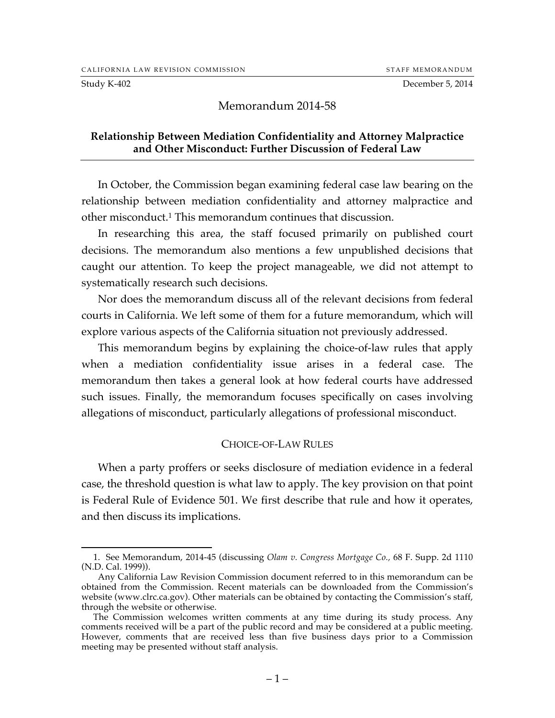Study K-402 December 5, 2014

#### Memorandum 2014-58

#### **Relationship Between Mediation Confidentiality and Attorney Malpractice and Other Misconduct: Further Discussion of Federal Law**

In October, the Commission began examining federal case law bearing on the relationship between mediation confidentiality and attorney malpractice and other misconduct.1 This memorandum continues that discussion.

In researching this area, the staff focused primarily on published court decisions. The memorandum also mentions a few unpublished decisions that caught our attention. To keep the project manageable, we did not attempt to systematically research such decisions.

Nor does the memorandum discuss all of the relevant decisions from federal courts in California. We left some of them for a future memorandum, which will explore various aspects of the California situation not previously addressed.

This memorandum begins by explaining the choice-of-law rules that apply when a mediation confidentiality issue arises in a federal case. The memorandum then takes a general look at how federal courts have addressed such issues. Finally, the memorandum focuses specifically on cases involving allegations of misconduct, particularly allegations of professional misconduct.

#### CHOICE-OF-LAW RULES

When a party proffers or seeks disclosure of mediation evidence in a federal case, the threshold question is what law to apply. The key provision on that point is Federal Rule of Evidence 501. We first describe that rule and how it operates, and then discuss its implications.

 <sup>1.</sup> See Memorandum, 2014-45 (discussing *Olam v. Congress Mortgage Co.,* 68 F. Supp. 2d 1110 (N.D. Cal. 1999)).

Any California Law Revision Commission document referred to in this memorandum can be obtained from the Commission. Recent materials can be downloaded from the Commission's website (www.clrc.ca.gov). Other materials can be obtained by contacting the Commission's staff, through the website or otherwise.

The Commission welcomes written comments at any time during its study process. Any comments received will be a part of the public record and may be considered at a public meeting. However, comments that are received less than five business days prior to a Commission meeting may be presented without staff analysis.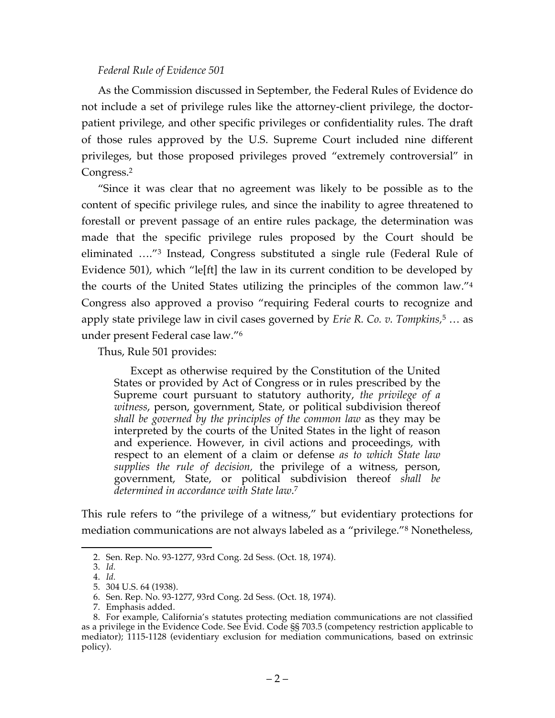#### *Federal Rule of Evidence 501*

As the Commission discussed in September, the Federal Rules of Evidence do not include a set of privilege rules like the attorney-client privilege, the doctorpatient privilege, and other specific privileges or confidentiality rules. The draft of those rules approved by the U.S. Supreme Court included nine different privileges, but those proposed privileges proved "extremely controversial" in Congress.2

"Since it was clear that no agreement was likely to be possible as to the content of specific privilege rules, and since the inability to agree threatened to forestall or prevent passage of an entire rules package, the determination was made that the specific privilege rules proposed by the Court should be eliminated …."3 Instead, Congress substituted a single rule (Federal Rule of Evidence 501), which "le[ft] the law in its current condition to be developed by the courts of the United States utilizing the principles of the common law."4 Congress also approved a proviso "requiring Federal courts to recognize and apply state privilege law in civil cases governed by *Erie R. Co. v. Tompkins,*<sup>5</sup> … as under present Federal case law."6

Thus, Rule 501 provides:

Except as otherwise required by the Constitution of the United States or provided by Act of Congress or in rules prescribed by the Supreme court pursuant to statutory authority, *the privilege of a witness*, person, government, State, or political subdivision thereof *shall be governed by the principles of the common law* as they may be interpreted by the courts of the United States in the light of reason and experience. However, in civil actions and proceedings, with respect to an element of a claim or defense *as to which State law supplies the rule of decision,* the privilege of a witness, person, government, State, or political subdivision thereof *shall be determined in accordance with State law*. 7

This rule refers to "the privilege of a witness," but evidentiary protections for mediation communications are not always labeled as a "privilege."8 Nonetheless,

 <sup>2.</sup> Sen. Rep. No. 93-1277, 93rd Cong. 2d Sess. (Oct. 18, 1974).

<sup>3.</sup> *Id.*

<sup>4.</sup> *Id.*

<sup>5.</sup> 304 U.S. 64 (1938).

<sup>6.</sup> Sen. Rep. No. 93-1277, 93rd Cong. 2d Sess. (Oct. 18, 1974).

<sup>7.</sup> Emphasis added.

<sup>8.</sup> For example, California's statutes protecting mediation communications are not classified as a privilege in the Evidence Code. See Evid. Code §§ 703.5 (competency restriction applicable to mediator); 1115-1128 (evidentiary exclusion for mediation communications, based on extrinsic policy).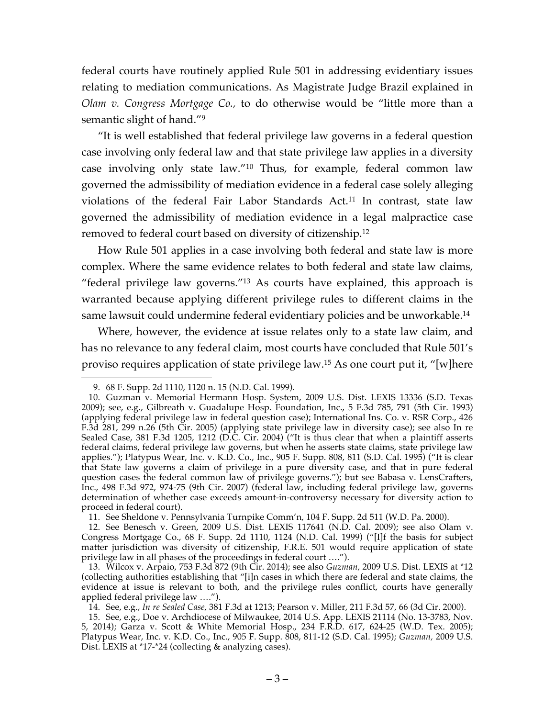federal courts have routinely applied Rule 501 in addressing evidentiary issues relating to mediation communications. As Magistrate Judge Brazil explained in *Olam v. Congress Mortgage Co.,* to do otherwise would be "little more than a semantic slight of hand."<sup>9</sup>

"It is well established that federal privilege law governs in a federal question case involving only federal law and that state privilege law applies in a diversity case involving only state law."10 Thus, for example, federal common law governed the admissibility of mediation evidence in a federal case solely alleging violations of the federal Fair Labor Standards Act.11 In contrast, state law governed the admissibility of mediation evidence in a legal malpractice case removed to federal court based on diversity of citizenship.12

How Rule 501 applies in a case involving both federal and state law is more complex. Where the same evidence relates to both federal and state law claims, "federal privilege law governs."13 As courts have explained, this approach is warranted because applying different privilege rules to different claims in the same lawsuit could undermine federal evidentiary policies and be unworkable.<sup>14</sup>

Where, however, the evidence at issue relates only to a state law claim, and has no relevance to any federal claim, most courts have concluded that Rule 501's proviso requires application of state privilege law.15 As one court put it, "[w]here

 <sup>9.</sup> 68 F. Supp. 2d 1110, 1120 n. 15 (N.D. Cal. 1999).

<sup>10.</sup> Guzman v. Memorial Hermann Hosp. System, 2009 U.S. Dist. LEXIS 13336 (S.D. Texas 2009); see, e.g., Gilbreath v. Guadalupe Hosp. Foundation, Inc., 5 F.3d 785, 791 (5th Cir. 1993) (applying federal privilege law in federal question case); International Ins. Co. v. RSR Corp., 426 F.3d 281, 299 n.26 (5th Cir. 2005) (applying state privilege law in diversity case); see also In re Sealed Case, 381 F.3d 1205, 1212 (D.C. Cir. 2004) ("It is thus clear that when a plaintiff asserts federal claims, federal privilege law governs, but when he asserts state claims, state privilege law applies."); Platypus Wear, Inc. v. K.D. Co., Inc., 905 F. Supp. 808, 811 (S.D. Cal. 1995) ("It is clear that State law governs a claim of privilege in a pure diversity case, and that in pure federal question cases the federal common law of privilege governs."); but see Babasa v. LensCrafters, Inc., 498 F.3d 972, 974-75 (9th Cir. 2007) (federal law, including federal privilege law, governs determination of whether case exceeds amount-in-controversy necessary for diversity action to proceed in federal court).

<sup>11.</sup> See Sheldone v. Pennsylvania Turnpike Comm'n, 104 F. Supp. 2d 511 (W.D. Pa. 2000).

<sup>12.</sup> See Benesch v. Green, 2009 U.S. Dist. LEXIS 117641 (N.D. Cal. 2009); see also Olam v. Congress Mortgage Co., 68 F. Supp. 2d 1110, 1124 (N.D. Cal. 1999) ("[I]f the basis for subject matter jurisdiction was diversity of citizenship, F.R.E. 501 would require application of state privilege law in all phases of the proceedings in federal court ….").

<sup>13.</sup> Wilcox v. Arpaio, 753 F.3d 872 (9th Cir. 2014); see also *Guzman,* 2009 U.S. Dist. LEXIS at \*12 (collecting authorities establishing that "[i]n cases in which there are federal and state claims, the evidence at issue is relevant to both, and the privilege rules conflict, courts have generally applied federal privilege law ….").

<sup>14.</sup> See, e.g., *In re Sealed Case*, 381 F.3d at 1213; Pearson v. Miller, 211 F.3d 57, 66 (3d Cir. 2000).

<sup>15.</sup> See, e.g., Doe v. Archdiocese of Milwaukee, 2014 U.S. App. LEXIS 21114 (No. 13-3783, Nov. 5, 2014); Garza v. Scott & White Memorial Hosp., 234 F.R.D. 617, 624-25 (W.D. Tex. 2005); Platypus Wear, Inc. v. K.D. Co., Inc., 905 F. Supp. 808, 811-12 (S.D. Cal. 1995); *Guzman,* 2009 U.S. Dist. LEXIS at \*17-\*24 (collecting & analyzing cases).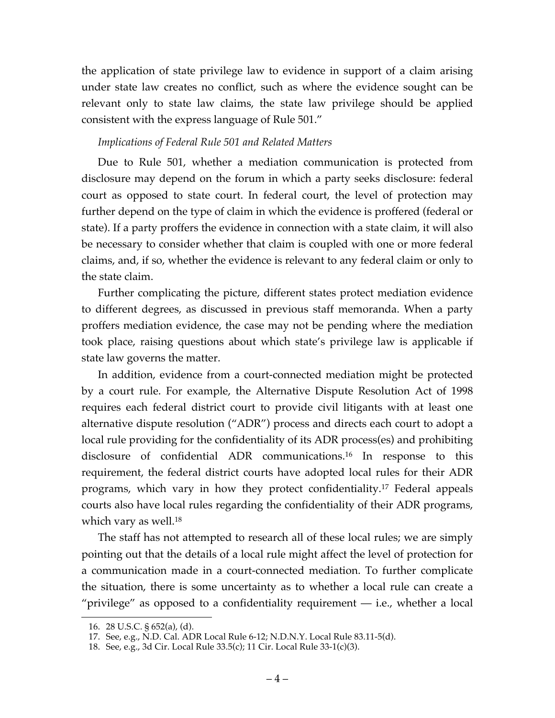the application of state privilege law to evidence in support of a claim arising under state law creates no conflict, such as where the evidence sought can be relevant only to state law claims, the state law privilege should be applied consistent with the express language of Rule 501."

## *Implications of Federal Rule 501 and Related Matters*

Due to Rule 501, whether a mediation communication is protected from disclosure may depend on the forum in which a party seeks disclosure: federal court as opposed to state court. In federal court, the level of protection may further depend on the type of claim in which the evidence is proffered (federal or state). If a party proffers the evidence in connection with a state claim, it will also be necessary to consider whether that claim is coupled with one or more federal claims, and, if so, whether the evidence is relevant to any federal claim or only to the state claim.

Further complicating the picture, different states protect mediation evidence to different degrees, as discussed in previous staff memoranda. When a party proffers mediation evidence, the case may not be pending where the mediation took place, raising questions about which state's privilege law is applicable if state law governs the matter.

In addition, evidence from a court-connected mediation might be protected by a court rule. For example, the Alternative Dispute Resolution Act of 1998 requires each federal district court to provide civil litigants with at least one alternative dispute resolution ("ADR") process and directs each court to adopt a local rule providing for the confidentiality of its ADR process(es) and prohibiting disclosure of confidential ADR communications.16 In response to this requirement, the federal district courts have adopted local rules for their ADR programs, which vary in how they protect confidentiality.17 Federal appeals courts also have local rules regarding the confidentiality of their ADR programs, which vary as well.<sup>18</sup>

The staff has not attempted to research all of these local rules; we are simply pointing out that the details of a local rule might affect the level of protection for a communication made in a court-connected mediation. To further complicate the situation, there is some uncertainty as to whether a local rule can create a "privilege" as opposed to a confidentiality requirement — i.e., whether a local

 <sup>16.</sup> 28 U.S.C. § 652(a), (d).

<sup>17.</sup> See, e.g., N.D. Cal. ADR Local Rule 6-12; N.D.N.Y. Local Rule 83.11-5(d).

<sup>18.</sup> See, e.g., 3d Cir. Local Rule 33.5(c); 11 Cir. Local Rule 33-1(c)(3).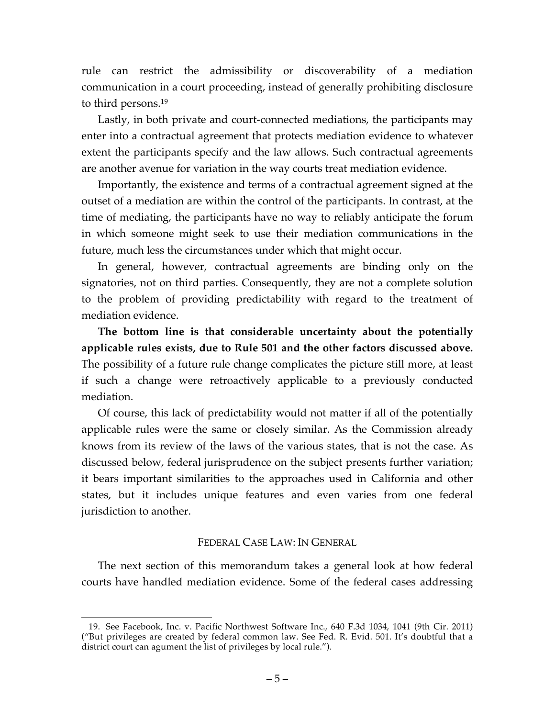rule can restrict the admissibility or discoverability of a mediation communication in a court proceeding, instead of generally prohibiting disclosure to third persons.19

Lastly, in both private and court-connected mediations, the participants may enter into a contractual agreement that protects mediation evidence to whatever extent the participants specify and the law allows. Such contractual agreements are another avenue for variation in the way courts treat mediation evidence.

Importantly, the existence and terms of a contractual agreement signed at the outset of a mediation are within the control of the participants. In contrast, at the time of mediating, the participants have no way to reliably anticipate the forum in which someone might seek to use their mediation communications in the future, much less the circumstances under which that might occur.

In general, however, contractual agreements are binding only on the signatories, not on third parties. Consequently, they are not a complete solution to the problem of providing predictability with regard to the treatment of mediation evidence.

**The bottom line is that considerable uncertainty about the potentially applicable rules exists, due to Rule 501 and the other factors discussed above.**  The possibility of a future rule change complicates the picture still more, at least if such a change were retroactively applicable to a previously conducted mediation.

Of course, this lack of predictability would not matter if all of the potentially applicable rules were the same or closely similar. As the Commission already knows from its review of the laws of the various states, that is not the case. As discussed below, federal jurisprudence on the subject presents further variation; it bears important similarities to the approaches used in California and other states, but it includes unique features and even varies from one federal jurisdiction to another.

## FEDERAL CASE LAW: IN GENERAL

The next section of this memorandum takes a general look at how federal courts have handled mediation evidence. Some of the federal cases addressing

 <sup>19.</sup> See Facebook, Inc. v. Pacific Northwest Software Inc., 640 F.3d 1034, 1041 (9th Cir. 2011) ("But privileges are created by federal common law. See Fed. R. Evid. 501. It's doubtful that a district court can agument the list of privileges by local rule.").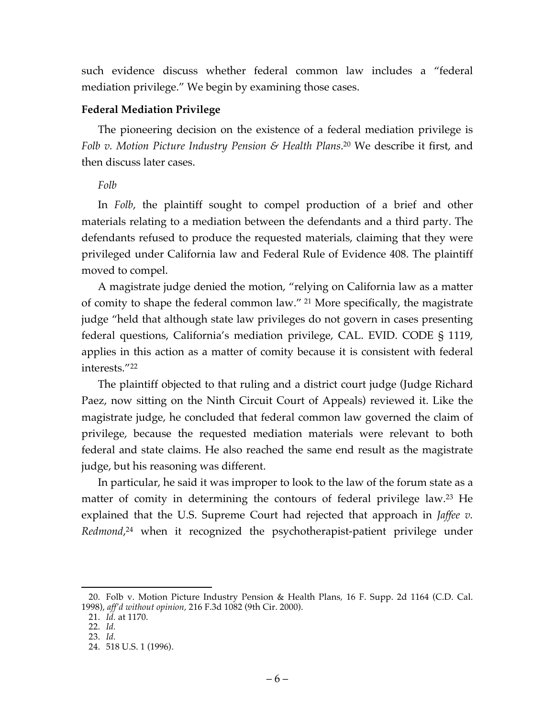such evidence discuss whether federal common law includes a "federal mediation privilege." We begin by examining those cases.

# **Federal Mediation Privilege**

The pioneering decision on the existence of a federal mediation privilege is *Folb v. Motion Picture Industry Pension & Health Plans*. <sup>20</sup> We describe it first, and then discuss later cases.

# *Folb*

In *Folb*, the plaintiff sought to compel production of a brief and other materials relating to a mediation between the defendants and a third party. The defendants refused to produce the requested materials, claiming that they were privileged under California law and Federal Rule of Evidence 408. The plaintiff moved to compel.

A magistrate judge denied the motion, "relying on California law as a matter of comity to shape the federal common law." <sup>21</sup> More specifically, the magistrate judge "held that although state law privileges do not govern in cases presenting federal questions, California's mediation privilege, CAL. EVID. CODE § 1119, applies in this action as a matter of comity because it is consistent with federal interests."22

The plaintiff objected to that ruling and a district court judge (Judge Richard Paez, now sitting on the Ninth Circuit Court of Appeals) reviewed it. Like the magistrate judge, he concluded that federal common law governed the claim of privilege, because the requested mediation materials were relevant to both federal and state claims. He also reached the same end result as the magistrate judge, but his reasoning was different.

In particular, he said it was improper to look to the law of the forum state as a matter of comity in determining the contours of federal privilege law. <sup>23</sup> He explained that the U.S. Supreme Court had rejected that approach in *Jaffee v. Redmond*, <sup>24</sup> when it recognized the psychotherapist-patient privilege under

 <sup>20.</sup> Folb v. Motion Picture Industry Pension & Health Plans*,* 16 F. Supp. 2d 1164 (C.D. Cal. 1998), *aff'd without opinion,* 216 F.3d 1082 (9th Cir. 2000).

<sup>21.</sup> *Id.* at 1170.

<sup>22.</sup> *Id.*

<sup>23.</sup> *Id.* 

<sup>24.</sup> 518 U.S. 1 (1996).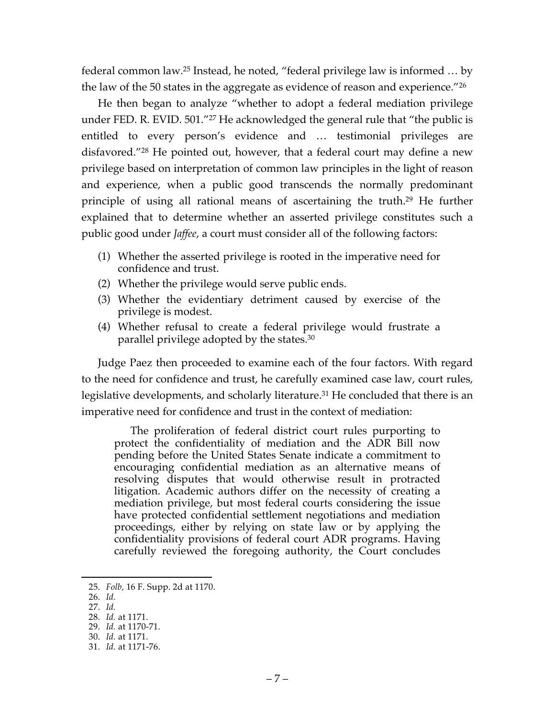federal common law. <sup>25</sup> Instead, he noted, "federal privilege law is informed … by the law of the 50 states in the aggregate as evidence of reason and experience."26

He then began to analyze "whether to adopt a federal mediation privilege under FED. R. EVID. 501."<sup>27</sup> He acknowledged the general rule that "the public is entitled to every person's evidence and … testimonial privileges are disfavored."28 He pointed out, however, that a federal court may define a new privilege based on interpretation of common law principles in the light of reason and experience, when a public good transcends the normally predominant principle of using all rational means of ascertaining the truth.29 He further explained that to determine whether an asserted privilege constitutes such a public good under *Jaffee*, a court must consider all of the following factors:

- (1) Whether the asserted privilege is rooted in the imperative need for confidence and trust.
- (2) Whether the privilege would serve public ends.
- (3) Whether the evidentiary detriment caused by exercise of the privilege is modest.
- (4) Whether refusal to create a federal privilege would frustrate a parallel privilege adopted by the states.30

Judge Paez then proceeded to examine each of the four factors. With regard to the need for confidence and trust, he carefully examined case law, court rules, legislative developments, and scholarly literature.<sup>31</sup> He concluded that there is an imperative need for confidence and trust in the context of mediation:

The proliferation of federal district court rules purporting to protect the confidentiality of mediation and the ADR Bill now pending before the United States Senate indicate a commitment to encouraging confidential mediation as an alternative means of resolving disputes that would otherwise result in protracted litigation. Academic authors differ on the necessity of creating a mediation privilege, but most federal courts considering the issue have protected confidential settlement negotiations and mediation proceedings, either by relying on state law or by applying the confidentiality provisions of federal court ADR programs. Having carefully reviewed the foregoing authority, the Court concludes

- 26. *Id.*
- 27. *Id.*

- 29. *Id.* at 1170-71.
- 30. *Id.* at 1171.

 <sup>25.</sup> *Folb,* 16 F. Supp. 2d at 1170.

<sup>28.</sup> *Id.* at 1171.

<sup>31.</sup> *Id.* at 1171-76.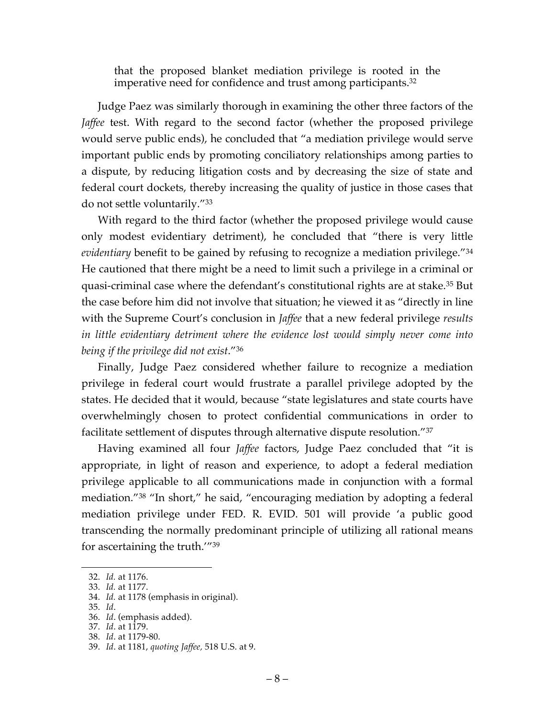that the proposed blanket mediation privilege is rooted in the imperative need for confidence and trust among participants.<sup>32</sup>

Judge Paez was similarly thorough in examining the other three factors of the *Jaffee* test. With regard to the second factor (whether the proposed privilege would serve public ends), he concluded that "a mediation privilege would serve important public ends by promoting conciliatory relationships among parties to a dispute, by reducing litigation costs and by decreasing the size of state and federal court dockets, thereby increasing the quality of justice in those cases that do not settle voluntarily."33

With regard to the third factor (whether the proposed privilege would cause only modest evidentiary detriment), he concluded that "there is very little *evidentiary* benefit to be gained by refusing to recognize a mediation privilege."34 He cautioned that there might be a need to limit such a privilege in a criminal or quasi-criminal case where the defendant's constitutional rights are at stake.35 But the case before him did not involve that situation; he viewed it as "directly in line with the Supreme Court's conclusion in *Jaffee* that a new federal privilege *results in little evidentiary detriment where the evidence lost would simply never come into being if the privilege did not exist*."36

Finally, Judge Paez considered whether failure to recognize a mediation privilege in federal court would frustrate a parallel privilege adopted by the states. He decided that it would, because "state legislatures and state courts have overwhelmingly chosen to protect confidential communications in order to facilitate settlement of disputes through alternative dispute resolution."37

Having examined all four *Jaffee* factors, Judge Paez concluded that "it is appropriate, in light of reason and experience, to adopt a federal mediation privilege applicable to all communications made in conjunction with a formal mediation."38 "In short," he said, "encouraging mediation by adopting a federal mediation privilege under FED. R. EVID. 501 will provide 'a public good transcending the normally predominant principle of utilizing all rational means for ascertaining the truth.'"39

 <sup>32.</sup> *Id.* at 1176.

<sup>33.</sup> *Id.* at 1177.

<sup>34.</sup> *Id.* at 1178 (emphasis in original).

<sup>35.</sup> *Id*.

<sup>36.</sup> *Id*. (emphasis added).

<sup>37.</sup> *Id*. at 1179.

<sup>38.</sup> *Id*. at 1179-80.

<sup>39.</sup> *Id*. at 1181, *quoting Jaffee,* 518 U.S. at 9.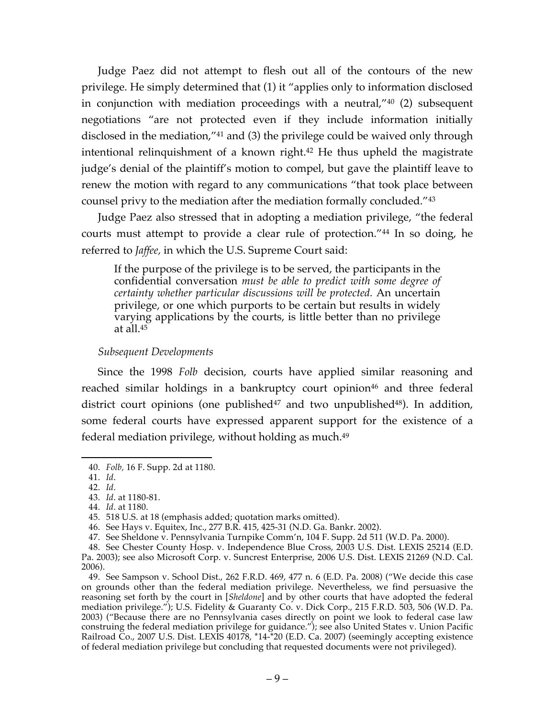Judge Paez did not attempt to flesh out all of the contours of the new privilege. He simply determined that (1) it "applies only to information disclosed in conjunction with mediation proceedings with a neutral,"40 (2) subsequent negotiations "are not protected even if they include information initially disclosed in the mediation,"41 and (3) the privilege could be waived only through intentional relinquishment of a known right.42 He thus upheld the magistrate judge's denial of the plaintiff's motion to compel, but gave the plaintiff leave to renew the motion with regard to any communications "that took place between counsel privy to the mediation after the mediation formally concluded."43

Judge Paez also stressed that in adopting a mediation privilege, "the federal courts must attempt to provide a clear rule of protection."44 In so doing, he referred to *Jaffee,* in which the U.S. Supreme Court said:

If the purpose of the privilege is to be served, the participants in the confidential conversation *must be able to predict with some degree of certainty whether particular discussions will be protected.* An uncertain privilege, or one which purports to be certain but results in widely varying applications by the courts, is little better than no privilege at all. $45$ 

#### *Subsequent Developments*

Since the 1998 *Folb* decision, courts have applied similar reasoning and reached similar holdings in a bankruptcy court opinion<sup>46</sup> and three federal district court opinions (one published $47$  and two unpublished $48$ ). In addition, some federal courts have expressed apparent support for the existence of a federal mediation privilege, without holding as much.<sup>49</sup>

 <sup>40.</sup> *Folb,* 16 F. Supp. 2d at 1180.

<sup>41.</sup> *Id*.

<sup>42.</sup> *Id*.

<sup>43.</sup> *Id*. at 1180-81.

<sup>44.</sup> *Id*. at 1180.

<sup>45.</sup> 518 U.S. at 18 (emphasis added; quotation marks omitted).

<sup>46.</sup> See Hays v. Equitex, Inc., 277 B.R. 415, 425-31 (N.D. Ga. Bankr. 2002).

<sup>47.</sup> See Sheldone v. Pennsylvania Turnpike Comm'n, 104 F. Supp. 2d 511 (W.D. Pa. 2000).

<sup>48.</sup> See Chester County Hosp. v. Independence Blue Cross, 2003 U.S. Dist. LEXIS 25214 (E.D. Pa. 2003); see also Microsoft Corp. v. Suncrest Enterprise, 2006 U.S. Dist. LEXIS 21269 (N.D. Cal. 2006).

<sup>49.</sup> See Sampson v. School Dist., 262 F.R.D. 469, 477 n. 6 (E.D. Pa. 2008) ("We decide this case on grounds other than the federal mediation privilege. Nevertheless, we find persuasive the reasoning set forth by the court in [*Sheldone*] and by other courts that have adopted the federal mediation privilege."); U.S. Fidelity & Guaranty Co. v. Dick Corp., 215 F.R.D. 503, 506 (W.D. Pa. 2003) ("Because there are no Pennsylvania cases directly on point we look to federal case law construing the federal mediation privilege for guidance."); see also United States v. Union Pacific Railroad Co., 2007 U.S. Dist. LEXIS 40178, \*14-\*20 (E.D. Ca. 2007) (seemingly accepting existence of federal mediation privilege but concluding that requested documents were not privileged).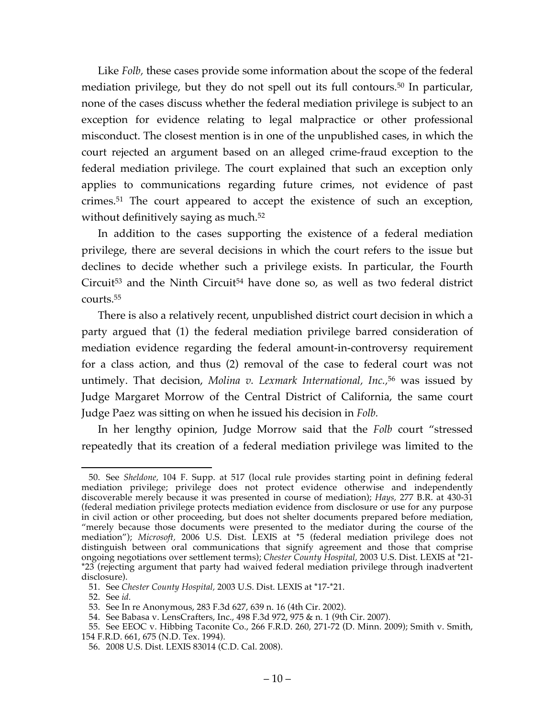Like *Folb*, these cases provide some information about the scope of the federal mediation privilege, but they do not spell out its full contours.50 In particular, none of the cases discuss whether the federal mediation privilege is subject to an exception for evidence relating to legal malpractice or other professional misconduct. The closest mention is in one of the unpublished cases, in which the court rejected an argument based on an alleged crime-fraud exception to the federal mediation privilege. The court explained that such an exception only applies to communications regarding future crimes, not evidence of past crimes. <sup>51</sup> The court appeared to accept the existence of such an exception, without definitively saying as much. 52

In addition to the cases supporting the existence of a federal mediation privilege, there are several decisions in which the court refers to the issue but declines to decide whether such a privilege exists. In particular, the Fourth Circuit<sup>53</sup> and the Ninth Circuit<sup>54</sup> have done so, as well as two federal district courts.55

There is also a relatively recent, unpublished district court decision in which a party argued that (1) the federal mediation privilege barred consideration of mediation evidence regarding the federal amount-in-controversy requirement for a class action, and thus (2) removal of the case to federal court was not untimely. That decision, *Molina v. Lexmark International, Inc.,*<sup>56</sup> was issued by Judge Margaret Morrow of the Central District of California, the same court Judge Paez was sitting on when he issued his decision in *Folb.*

In her lengthy opinion, Judge Morrow said that the *Folb* court "stressed repeatedly that its creation of a federal mediation privilege was limited to the

 <sup>50.</sup> See *Sheldone,* 104 F. Supp. at 517 (local rule provides starting point in defining federal mediation privilege; privilege does not protect evidence otherwise and independently discoverable merely because it was presented in course of mediation); *Hays,* 277 B.R. at 430-31 (federal mediation privilege protects mediation evidence from disclosure or use for any purpose in civil action or other proceeding, but does not shelter documents prepared before mediation, "merely because those documents were presented to the mediator during the course of the mediation"); *Microsoft,* 2006 U.S. Dist. LEXIS at \*5 (federal mediation privilege does not distinguish between oral communications that signify agreement and those that comprise ongoing negotiations over settlement terms); *Chester County Hospital,* 2003 U.S. Dist. LEXIS at \*21- \*23 (rejecting argument that party had waived federal mediation privilege through inadvertent disclosure).

<sup>51.</sup> See *Chester County Hospital,* 2003 U.S. Dist. LEXIS at \*17-\*21.

<sup>52.</sup> See *id.*

<sup>53.</sup> See In re Anonymous, 283 F.3d 627, 639 n. 16 (4th Cir. 2002).

<sup>54.</sup> See Babasa v. LensCrafters, Inc., 498 F.3d 972, 975 & n. 1 (9th Cir. 2007).

<sup>55.</sup> See EEOC v. Hibbing Taconite Co., 266 F.R.D. 260, 271-72 (D. Minn. 2009); Smith v. Smith, 154 F.R.D. 661, 675 (N.D. Tex. 1994).

<sup>56.</sup> 2008 U.S. Dist. LEXIS 83014 (C.D. Cal. 2008).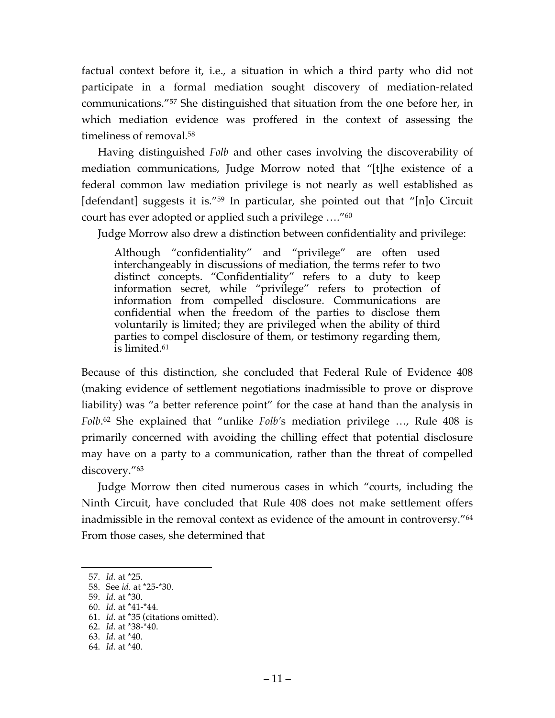factual context before it, i.e., a situation in which a third party who did not participate in a formal mediation sought discovery of mediation-related communications."57 She distinguished that situation from the one before her, in which mediation evidence was proffered in the context of assessing the timeliness of removal.58

Having distinguished *Folb* and other cases involving the discoverability of mediation communications, Judge Morrow noted that "[t]he existence of a federal common law mediation privilege is not nearly as well established as [defendant] suggests it is."59 In particular, she pointed out that "[n]o Circuit court has ever adopted or applied such a privilege …."60

Judge Morrow also drew a distinction between confidentiality and privilege:

Although "confidentiality" and "privilege" are often used interchangeably in discussions of mediation, the terms refer to two distinct concepts. "Confidentiality" refers to a duty to keep information secret, while "privilege" refers to protection of information from compelled disclosure. Communications are confidential when the freedom of the parties to disclose them voluntarily is limited; they are privileged when the ability of third parties to compel disclosure of them, or testimony regarding them, is limited.61

Because of this distinction, she concluded that Federal Rule of Evidence 408 (making evidence of settlement negotiations inadmissible to prove or disprove liability) was "a better reference point" for the case at hand than the analysis in *Folb*. <sup>62</sup> She explained that "unlike *Folb'*s mediation privilege …, Rule 408 is primarily concerned with avoiding the chilling effect that potential disclosure may have on a party to a communication, rather than the threat of compelled discovery."63

Judge Morrow then cited numerous cases in which "courts, including the Ninth Circuit, have concluded that Rule 408 does not make settlement offers inadmissible in the removal context as evidence of the amount in controversy."64 From those cases, she determined that

 <sup>57.</sup> *Id.* at \*25.

<sup>58.</sup> See *id.* at \*25-\*30.

<sup>59.</sup> *Id.* at \*30.

<sup>60.</sup> *Id.* at \*41-\*44.

<sup>61.</sup> *Id.* at \*35 (citations omitted).

<sup>62.</sup> *Id.* at \*38-\*40.

<sup>63.</sup> *Id.* at \*40.

<sup>64.</sup> *Id.* at \*40.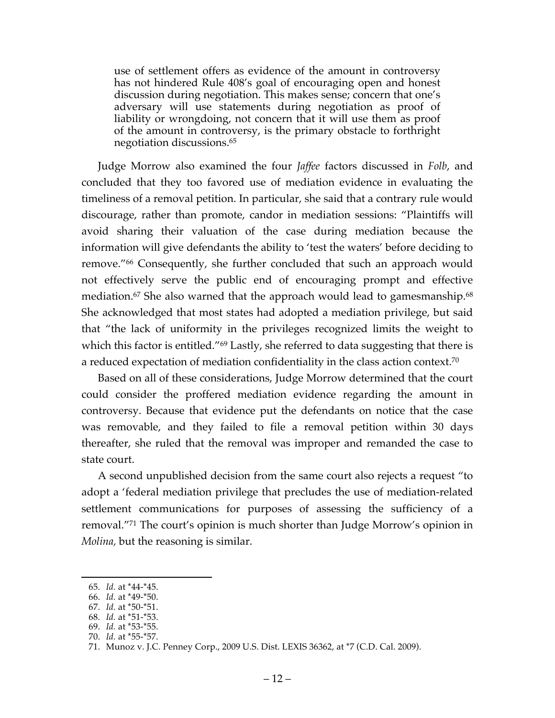use of settlement offers as evidence of the amount in controversy has not hindered Rule 408's goal of encouraging open and honest discussion during negotiation. This makes sense; concern that one's adversary will use statements during negotiation as proof of liability or wrongdoing, not concern that it will use them as proof of the amount in controversy, is the primary obstacle to forthright negotiation discussions.65

Judge Morrow also examined the four *Jaffee* factors discussed in *Folb*, and concluded that they too favored use of mediation evidence in evaluating the timeliness of a removal petition. In particular, she said that a contrary rule would discourage, rather than promote, candor in mediation sessions: "Plaintiffs will avoid sharing their valuation of the case during mediation because the information will give defendants the ability to 'test the waters' before deciding to remove."66 Consequently, she further concluded that such an approach would not effectively serve the public end of encouraging prompt and effective mediation.67 She also warned that the approach would lead to gamesmanship. 68 She acknowledged that most states had adopted a mediation privilege, but said that "the lack of uniformity in the privileges recognized limits the weight to which this factor is entitled."<sup>69</sup> Lastly, she referred to data suggesting that there is a reduced expectation of mediation confidentiality in the class action context.<sup>70</sup>

Based on all of these considerations, Judge Morrow determined that the court could consider the proffered mediation evidence regarding the amount in controversy. Because that evidence put the defendants on notice that the case was removable, and they failed to file a removal petition within 30 days thereafter, she ruled that the removal was improper and remanded the case to state court.

A second unpublished decision from the same court also rejects a request "to adopt a 'federal mediation privilege that precludes the use of mediation-related settlement communications for purposes of assessing the sufficiency of a removal."71 The court's opinion is much shorter than Judge Morrow's opinion in *Molina,* but the reasoning is similar.

 <sup>65.</sup> *Id.* at \*44-\*45.

<sup>66.</sup> *Id.* at \*49-\*50.

<sup>67.</sup> *Id.* at \*50-\*51.

<sup>68.</sup> *Id.* at \*51-\*53.

<sup>69.</sup> *Id.* at \*53-\*55.

<sup>70.</sup> *Id.* at \*55-\*57.

<sup>71.</sup> Munoz v. J.C. Penney Corp., 2009 U.S. Dist. LEXIS 36362, at \*7 (C.D. Cal. 2009).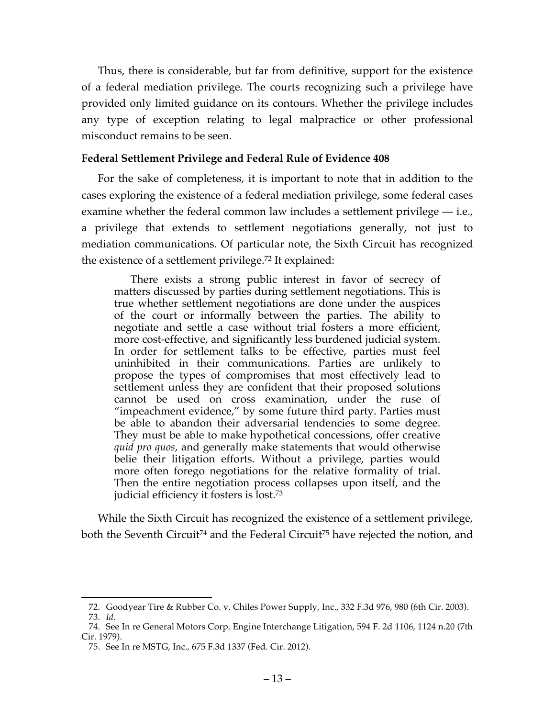Thus, there is considerable, but far from definitive, support for the existence of a federal mediation privilege. The courts recognizing such a privilege have provided only limited guidance on its contours. Whether the privilege includes any type of exception relating to legal malpractice or other professional misconduct remains to be seen.

#### **Federal Settlement Privilege and Federal Rule of Evidence 408**

For the sake of completeness, it is important to note that in addition to the cases exploring the existence of a federal mediation privilege, some federal cases examine whether the federal common law includes a settlement privilege — i.e., a privilege that extends to settlement negotiations generally, not just to mediation communications. Of particular note, the Sixth Circuit has recognized the existence of a settlement privilege.72 It explained:

There exists a strong public interest in favor of secrecy of matters discussed by parties during settlement negotiations. This is true whether settlement negotiations are done under the auspices of the court or informally between the parties. The ability to negotiate and settle a case without trial fosters a more efficient, more cost-effective, and significantly less burdened judicial system. In order for settlement talks to be effective, parties must feel uninhibited in their communications. Parties are unlikely to propose the types of compromises that most effectively lead to settlement unless they are confident that their proposed solutions cannot be used on cross examination, under the ruse of "impeachment evidence," by some future third party. Parties must be able to abandon their adversarial tendencies to some degree. They must be able to make hypothetical concessions, offer creative *quid pro quos*, and generally make statements that would otherwise belie their litigation efforts. Without a privilege, parties would more often forego negotiations for the relative formality of trial. Then the entire negotiation process collapses upon itself, and the judicial efficiency it fosters is lost.73

While the Sixth Circuit has recognized the existence of a settlement privilege, both the Seventh Circuit<sup>74</sup> and the Federal Circuit<sup>75</sup> have rejected the notion, and

 <sup>72.</sup> Goodyear Tire & Rubber Co. v. Chiles Power Supply, Inc., 332 F.3d 976, 980 (6th Cir. 2003).

<sup>73.</sup> *Id.*

<sup>74.</sup> See In re General Motors Corp. Engine Interchange Litigation, 594 F. 2d 1106, 1124 n.20 (7th Cir. 1979).

<sup>75.</sup> See In re MSTG, Inc., 675 F.3d 1337 (Fed. Cir. 2012).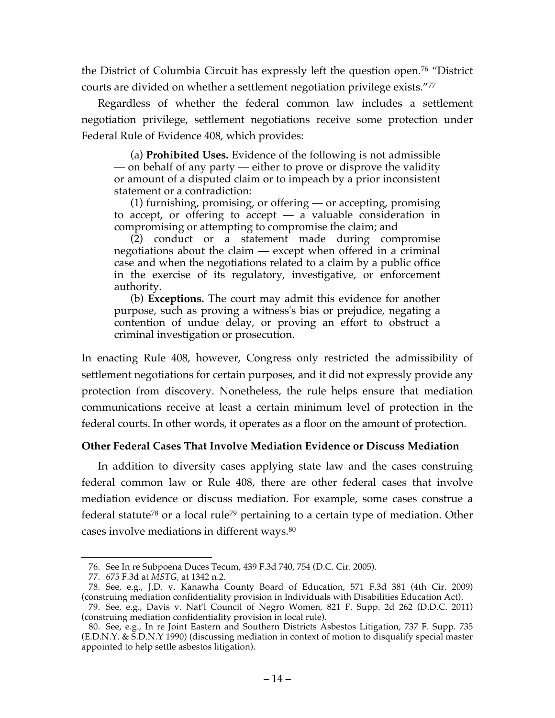the District of Columbia Circuit has expressly left the question open. <sup>76</sup> "District courts are divided on whether a settlement negotiation privilege exists."77

Regardless of whether the federal common law includes a settlement negotiation privilege, settlement negotiations receive some protection under Federal Rule of Evidence 408, which provides:

(a) **Prohibited Uses.** Evidence of the following is not admissible — on behalf of any party — either to prove or disprove the validity or amount of a disputed claim or to impeach by a prior inconsistent statement or a contradiction:

(1) furnishing, promising, or offering — or accepting, promising to accept, or offering to accept  $-$  a valuable consideration in compromising or attempting to compromise the claim; and

(2) conduct or a statement made during compromise negotiations about the claim — except when offered in a criminal case and when the negotiations related to a claim by a public office in the exercise of its regulatory, investigative, or enforcement authority.

(b) **Exceptions.** The court may admit this evidence for another purpose, such as proving a witness's bias or prejudice, negating a contention of undue delay, or proving an effort to obstruct a criminal investigation or prosecution.

In enacting Rule 408, however, Congress only restricted the admissibility of settlement negotiations for certain purposes, and it did not expressly provide any protection from discovery. Nonetheless, the rule helps ensure that mediation communications receive at least a certain minimum level of protection in the federal courts. In other words, it operates as a floor on the amount of protection.

## **Other Federal Cases That Involve Mediation Evidence or Discuss Mediation**

In addition to diversity cases applying state law and the cases construing federal common law or Rule 408, there are other federal cases that involve mediation evidence or discuss mediation. For example, some cases construe a federal statute<sup>78</sup> or a local rule<sup>79</sup> pertaining to a certain type of mediation. Other cases involve mediations in different ways.80

 <sup>76.</sup> See In re Subpoena Duces Tecum, 439 F.3d 740, 754 (D.C. Cir. 2005).

<sup>77.</sup> 675 F.3d at *MSTG,* at 1342 n.2.

<sup>78.</sup> See, e.g., J.D. v. Kanawha County Board of Education, 571 F.3d 381 (4th Cir. 2009) (construing mediation confidentiality provision in Individuals with Disabilities Education Act).

<sup>79.</sup> See, e.g., Davis v. Nat'l Council of Negro Women, 821 F. Supp. 2d 262 (D.D.C. 2011) (construing mediation confidentiality provision in local rule).

<sup>80.</sup> See, e.g., In re Joint Eastern and Southern Districts Asbestos Litigation, 737 F. Supp. 735 (E.D.N.Y. & S.D.N.Y 1990) (discussing mediation in context of motion to disqualify special master appointed to help settle asbestos litigation).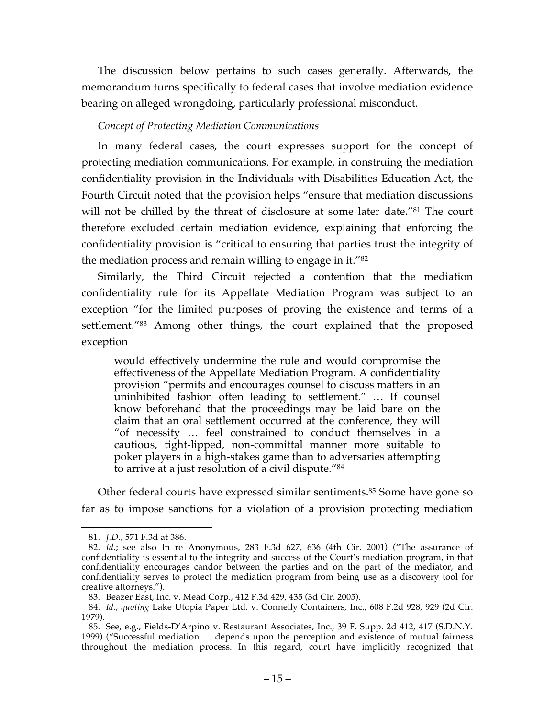The discussion below pertains to such cases generally. Afterwards, the memorandum turns specifically to federal cases that involve mediation evidence bearing on alleged wrongdoing, particularly professional misconduct.

# *Concept of Protecting Mediation Communications*

In many federal cases, the court expresses support for the concept of protecting mediation communications. For example, in construing the mediation confidentiality provision in the Individuals with Disabilities Education Act, the Fourth Circuit noted that the provision helps "ensure that mediation discussions will not be chilled by the threat of disclosure at some later date."<sup>81</sup> The court therefore excluded certain mediation evidence, explaining that enforcing the confidentiality provision is "critical to ensuring that parties trust the integrity of the mediation process and remain willing to engage in it."82

Similarly, the Third Circuit rejected a contention that the mediation confidentiality rule for its Appellate Mediation Program was subject to an exception "for the limited purposes of proving the existence and terms of a settlement."83 Among other things, the court explained that the proposed exception

would effectively undermine the rule and would compromise the effectiveness of the Appellate Mediation Program. A confidentiality provision "permits and encourages counsel to discuss matters in an uninhibited fashion often leading to settlement." … If counsel know beforehand that the proceedings may be laid bare on the claim that an oral settlement occurred at the conference, they will "of necessity … feel constrained to conduct themselves in a cautious, tight-lipped, non-committal manner more suitable to poker players in a high-stakes game than to adversaries attempting to arrive at a just resolution of a civil dispute."84

Other federal courts have expressed similar sentiments.<sup>85</sup> Some have gone so far as to impose sanctions for a violation of a provision protecting mediation

 <sup>81.</sup> *J.D.,* 571 F.3d at 386.

<sup>82.</sup> *Id.*; see also In re Anonymous, 283 F.3d 627, 636 (4th Cir. 2001) ("The assurance of confidentiality is essential to the integrity and success of the Court's mediation program, in that confidentiality encourages candor between the parties and on the part of the mediator, and confidentiality serves to protect the mediation program from being use as a discovery tool for creative attorneys.").

<sup>83.</sup> Beazer East, Inc. v. Mead Corp., 412 F.3d 429, 435 (3d Cir. 2005).

<sup>84.</sup> *Id.*, *quoting* Lake Utopia Paper Ltd. v. Connelly Containers, Inc., 608 F.2d 928, 929 (2d Cir. 1979).

<sup>85.</sup> See, e.g., Fields-D'Arpino v. Restaurant Associates, Inc., 39 F. Supp. 2d 412, 417 (S.D.N.Y. 1999) ("Successful mediation … depends upon the perception and existence of mutual fairness throughout the mediation process. In this regard, court have implicitly recognized that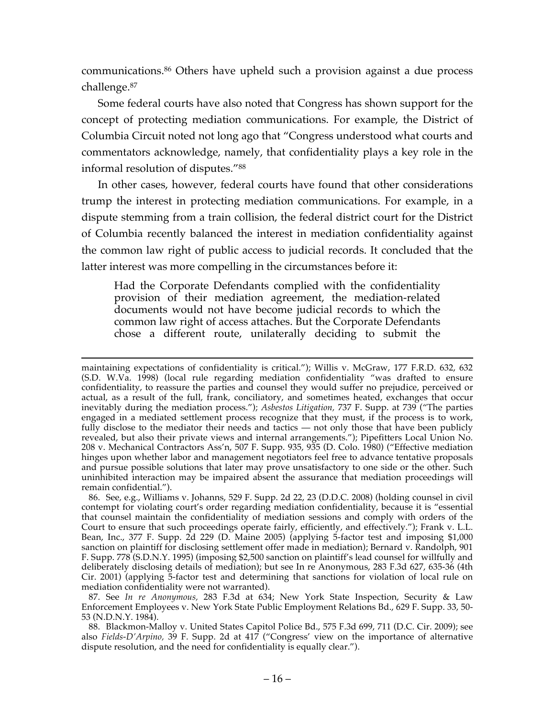communications.86 Others have upheld such a provision against a due process challenge.87

Some federal courts have also noted that Congress has shown support for the concept of protecting mediation communications. For example, the District of Columbia Circuit noted not long ago that "Congress understood what courts and commentators acknowledge, namely, that confidentiality plays a key role in the informal resolution of disputes."88

In other cases, however, federal courts have found that other considerations trump the interest in protecting mediation communications. For example, in a dispute stemming from a train collision, the federal district court for the District of Columbia recently balanced the interest in mediation confidentiality against the common law right of public access to judicial records. It concluded that the latter interest was more compelling in the circumstances before it:

Had the Corporate Defendants complied with the confidentiality provision of their mediation agreement, the mediation-related documents would not have become judicial records to which the common law right of access attaches. But the Corporate Defendants chose a different route, unilaterally deciding to submit the

maintaining expectations of confidentiality is critical."); Willis v. McGraw, 177 F.R.D. 632, 632 (S.D. W.Va. 1998) (local rule regarding mediation confidentiality "was drafted to ensure confidentiality, to reassure the parties and counsel they would suffer no prejudice, perceived or actual, as a result of the full, frank, conciliatory, and sometimes heated, exchanges that occur inevitably during the mediation process."); *Asbestos Litigation,* 737 F. Supp. at 739 ("The parties engaged in a mediated settlement process recognize that they must, if the process is to work, fully disclose to the mediator their needs and tactics — not only those that have been publicly revealed, but also their private views and internal arrangements."); Pipefitters Local Union No. 208 v. Mechanical Contractors Ass'n, 507 F. Supp. 935, 935 (D. Colo. 1980) ("Effective mediation hinges upon whether labor and management negotiators feel free to advance tentative proposals and pursue possible solutions that later may prove unsatisfactory to one side or the other. Such uninhibited interaction may be impaired absent the assurance that mediation proceedings will remain confidential.").

<sup>86.</sup> See, e.g., Williams v. Johanns, 529 F. Supp. 2d 22, 23 (D.D.C. 2008) (holding counsel in civil contempt for violating court's order regarding mediation confidentiality, because it is "essential that counsel maintain the confidentiality of mediation sessions and comply with orders of the Court to ensure that such proceedings operate fairly, efficiently, and effectively."); Frank v. L.L. Bean, Inc., 377 F. Supp. 2d 229 (D. Maine 2005) (applying 5-factor test and imposing \$1,000 sanction on plaintiff for disclosing settlement offer made in mediation); Bernard v. Randolph, 901 F. Supp. 778 (S.D.N.Y. 1995) (imposing \$2,500 sanction on plaintiff's lead counsel for willfully and deliberately disclosing details of mediation); but see In re Anonymous, 283 F.3d 627, 635-36 (4th Cir. 2001) (applying 5-factor test and determining that sanctions for violation of local rule on mediation confidentiality were not warranted).

<sup>87.</sup> See *In re Anonymous,* 283 F.3d at 634; New York State Inspection, Security & Law Enforcement Employees v. New York State Public Employment Relations Bd., 629 F. Supp. 33, 50- 53 (N.D.N.Y. 1984).

<sup>88.</sup> Blackmon-Malloy v. United States Capitol Police Bd., 575 F.3d 699, 711 (D.C. Cir. 2009); see also *Fields-D'Arpino,* 39 F. Supp. 2d at 417 ("Congress' view on the importance of alternative dispute resolution, and the need for confidentiality is equally clear.").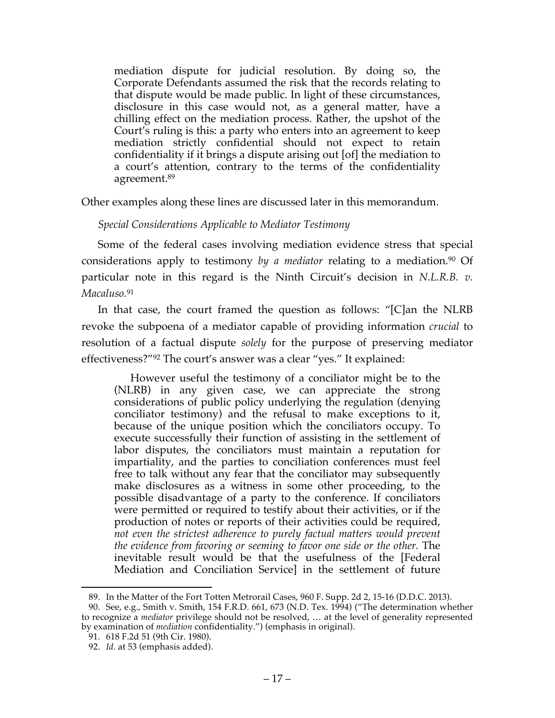mediation dispute for judicial resolution. By doing so, the Corporate Defendants assumed the risk that the records relating to that dispute would be made public. In light of these circumstances, disclosure in this case would not, as a general matter, have a chilling effect on the mediation process. Rather, the upshot of the Court's ruling is this: a party who enters into an agreement to keep mediation strictly confidential should not expect to retain confidentiality if it brings a dispute arising out [of] the mediation to a court's attention, contrary to the terms of the confidentiality agreement.89

Other examples along these lines are discussed later in this memorandum.

## *Special Considerations Applicable to Mediator Testimony*

Some of the federal cases involving mediation evidence stress that special considerations apply to testimony *by a mediator* relating to a mediation.<sup>90</sup> Of particular note in this regard is the Ninth Circuit's decision in *N.L.R.B. v. Macaluso.* 91

In that case, the court framed the question as follows: "[C]an the NLRB revoke the subpoena of a mediator capable of providing information *crucial* to resolution of a factual dispute *solely* for the purpose of preserving mediator effectiveness?"92 The court's answer was a clear "yes." It explained:

However useful the testimony of a conciliator might be to the (NLRB) in any given case, we can appreciate the strong considerations of public policy underlying the regulation (denying conciliator testimony) and the refusal to make exceptions to it, because of the unique position which the conciliators occupy. To execute successfully their function of assisting in the settlement of labor disputes, the conciliators must maintain a reputation for impartiality, and the parties to conciliation conferences must feel free to talk without any fear that the conciliator may subsequently make disclosures as a witness in some other proceeding, to the possible disadvantage of a party to the conference. If conciliators were permitted or required to testify about their activities, or if the production of notes or reports of their activities could be required, *not even the strictest adherence to purely factual matters would prevent the evidence from favoring or seeming to favor one side or the other.* The inevitable result would be that the usefulness of the [Federal Mediation and Conciliation Service] in the settlement of future

 <sup>89.</sup> In the Matter of the Fort Totten Metrorail Cases, 960 F. Supp. 2d 2, 15-16 (D.D.C. 2013).

<sup>90.</sup> See, e.g., Smith v. Smith, 154 F.R.D. 661, 673 (N.D. Tex. 1994) ("The determination whether to recognize a *mediator* privilege should not be resolved, … at the level of generality represented by examination of *mediation* confidentiality.") (emphasis in original).

<sup>91.</sup> 618 F.2d 51 (9th Cir. 1980).

<sup>92.</sup> *Id.* at 53 (emphasis added).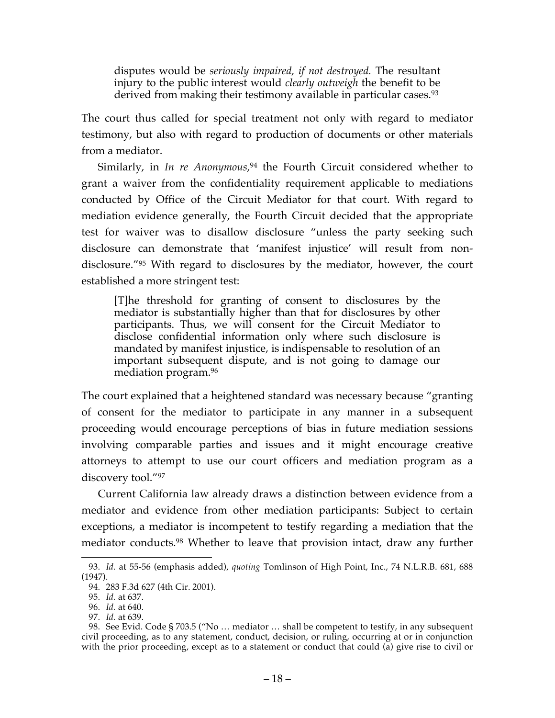disputes would be *seriously impaired, if not destroyed.* The resultant injury to the public interest would *clearly outweigh* the benefit to be derived from making their testimony available in particular cases.<sup>93</sup>

The court thus called for special treatment not only with regard to mediator testimony, but also with regard to production of documents or other materials from a mediator.

Similarly, in *In re Anonymous*, <sup>94</sup> the Fourth Circuit considered whether to grant a waiver from the confidentiality requirement applicable to mediations conducted by Office of the Circuit Mediator for that court. With regard to mediation evidence generally, the Fourth Circuit decided that the appropriate test for waiver was to disallow disclosure "unless the party seeking such disclosure can demonstrate that 'manifest injustice' will result from nondisclosure."95 With regard to disclosures by the mediator, however, the court established a more stringent test:

[T]he threshold for granting of consent to disclosures by the mediator is substantially higher than that for disclosures by other participants. Thus, we will consent for the Circuit Mediator to disclose confidential information only where such disclosure is mandated by manifest injustice, is indispensable to resolution of an important subsequent dispute, and is not going to damage our mediation program.96

The court explained that a heightened standard was necessary because "granting of consent for the mediator to participate in any manner in a subsequent proceeding would encourage perceptions of bias in future mediation sessions involving comparable parties and issues and it might encourage creative attorneys to attempt to use our court officers and mediation program as a discovery tool."97

Current California law already draws a distinction between evidence from a mediator and evidence from other mediation participants: Subject to certain exceptions, a mediator is incompetent to testify regarding a mediation that the mediator conducts.98 Whether to leave that provision intact, draw any further

 <sup>93.</sup> *Id.* at 55-56 (emphasis added), *quoting* Tomlinson of High Point, Inc., 74 N.L.R.B. 681, 688 (1947).

<sup>94.</sup> 283 F.3d 627 (4th Cir. 2001).

<sup>95.</sup> *Id.* at 637.

<sup>96.</sup> *Id.* at 640.

<sup>97.</sup> *Id.* at 639.

<sup>98.</sup> See Evid. Code § 703.5 ("No … mediator … shall be competent to testify, in any subsequent civil proceeding, as to any statement, conduct, decision, or ruling, occurring at or in conjunction with the prior proceeding, except as to a statement or conduct that could (a) give rise to civil or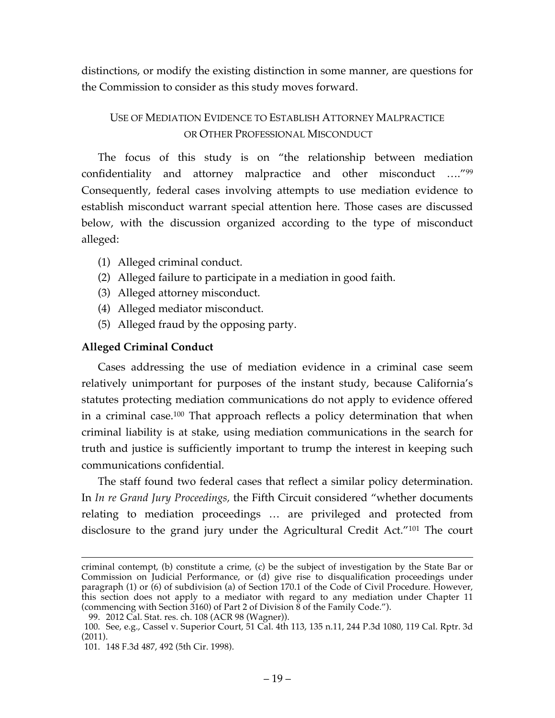distinctions, or modify the existing distinction in some manner, are questions for the Commission to consider as this study moves forward.

# USE OF MEDIATION EVIDENCE TO ESTABLISH ATTORNEY MALPRACTICE OR OTHER PROFESSIONAL MISCONDUCT

The focus of this study is on "the relationship between mediation confidentiality and attorney malpractice and other misconduct …."99 Consequently, federal cases involving attempts to use mediation evidence to establish misconduct warrant special attention here. Those cases are discussed below, with the discussion organized according to the type of misconduct alleged:

- (1) Alleged criminal conduct.
- (2) Alleged failure to participate in a mediation in good faith.
- (3) Alleged attorney misconduct.
- (4) Alleged mediator misconduct.
- (5) Alleged fraud by the opposing party.

# **Alleged Criminal Conduct**

Cases addressing the use of mediation evidence in a criminal case seem relatively unimportant for purposes of the instant study, because California's statutes protecting mediation communications do not apply to evidence offered in a criminal case.100 That approach reflects a policy determination that when criminal liability is at stake, using mediation communications in the search for truth and justice is sufficiently important to trump the interest in keeping such communications confidential.

The staff found two federal cases that reflect a similar policy determination. In *In re Grand Jury Proceedings,* the Fifth Circuit considered "whether documents relating to mediation proceedings … are privileged and protected from disclosure to the grand jury under the Agricultural Credit Act."101 The court

criminal contempt, (b) constitute a crime, (c) be the subject of investigation by the State Bar or Commission on Judicial Performance, or (d) give rise to disqualification proceedings under paragraph (1) or (6) of subdivision (a) of Section 170.1 of the Code of Civil Procedure. However, this section does not apply to a mediator with regard to any mediation under Chapter 11 (commencing with Section 3160) of Part 2 of Division 8 of the Family Code.").

<sup>99.</sup> 2012 Cal. Stat. res. ch. 108 (ACR 98 (Wagner)).

<sup>100.</sup> See, e.g., Cassel v. Superior Court, 51 Cal. 4th 113, 135 n.11, 244 P.3d 1080, 119 Cal. Rptr. 3d (2011).

<sup>101.</sup> 148 F.3d 487, 492 (5th Cir. 1998).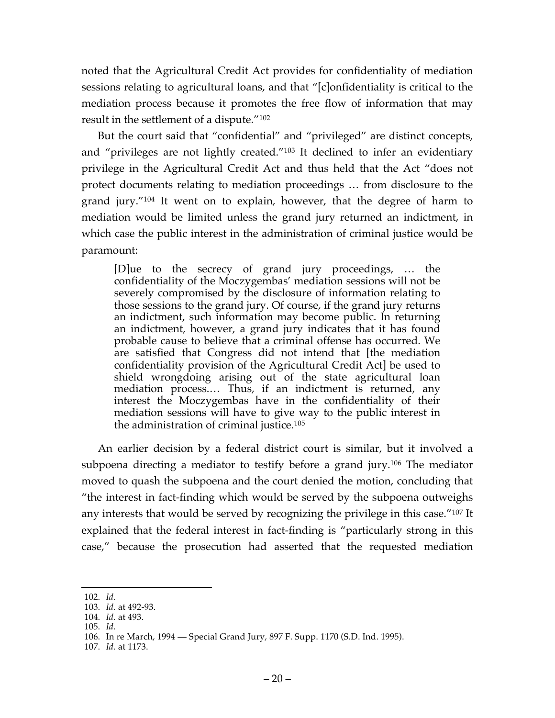noted that the Agricultural Credit Act provides for confidentiality of mediation sessions relating to agricultural loans, and that "[c]onfidentiality is critical to the mediation process because it promotes the free flow of information that may result in the settlement of a dispute."102

But the court said that "confidential" and "privileged" are distinct concepts, and "privileges are not lightly created."103 It declined to infer an evidentiary privilege in the Agricultural Credit Act and thus held that the Act "does not protect documents relating to mediation proceedings … from disclosure to the grand jury."104 It went on to explain, however, that the degree of harm to mediation would be limited unless the grand jury returned an indictment, in which case the public interest in the administration of criminal justice would be paramount:

[D]ue to the secrecy of grand jury proceedings, … the confidentiality of the Moczygembas' mediation sessions will not be severely compromised by the disclosure of information relating to those sessions to the grand jury. Of course, if the grand jury returns an indictment, such information may become public. In returning an indictment, however, a grand jury indicates that it has found probable cause to believe that a criminal offense has occurred. We are satisfied that Congress did not intend that [the mediation confidentiality provision of the Agricultural Credit Act] be used to shield wrongdoing arising out of the state agricultural loan mediation process.… Thus, if an indictment is returned, any interest the Moczygembas have in the confidentiality of their mediation sessions will have to give way to the public interest in the administration of criminal justice.105

An earlier decision by a federal district court is similar, but it involved a subpoena directing a mediator to testify before a grand jury.106 The mediator moved to quash the subpoena and the court denied the motion, concluding that "the interest in fact-finding which would be served by the subpoena outweighs any interests that would be served by recognizing the privilege in this case."107 It explained that the federal interest in fact-finding is "particularly strong in this case," because the prosecution had asserted that the requested mediation

 <sup>102.</sup> *Id.*

<sup>103.</sup> *Id.* at 492-93.

<sup>104.</sup> *Id.* at 493.

<sup>105.</sup> *Id.*

<sup>106.</sup> In re March, 1994 — Special Grand Jury, 897 F. Supp. 1170 (S.D. Ind. 1995).

<sup>107.</sup> *Id.* at 1173.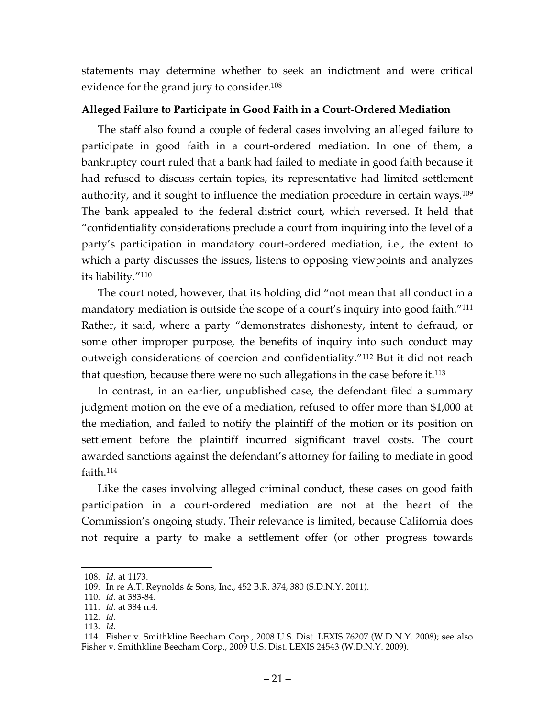statements may determine whether to seek an indictment and were critical evidence for the grand jury to consider.108

# **Alleged Failure to Participate in Good Faith in a Court-Ordered Mediation**

The staff also found a couple of federal cases involving an alleged failure to participate in good faith in a court-ordered mediation. In one of them, a bankruptcy court ruled that a bank had failed to mediate in good faith because it had refused to discuss certain topics, its representative had limited settlement authority, and it sought to influence the mediation procedure in certain ways.<sup>109</sup> The bank appealed to the federal district court, which reversed. It held that "confidentiality considerations preclude a court from inquiring into the level of a party's participation in mandatory court-ordered mediation, i.e., the extent to which a party discusses the issues, listens to opposing viewpoints and analyzes its liability."110

The court noted, however, that its holding did "not mean that all conduct in a mandatory mediation is outside the scope of a court's inquiry into good faith."<sup>111</sup> Rather, it said, where a party "demonstrates dishonesty, intent to defraud, or some other improper purpose, the benefits of inquiry into such conduct may outweigh considerations of coercion and confidentiality."112 But it did not reach that question, because there were no such allegations in the case before it.113

In contrast, in an earlier, unpublished case, the defendant filed a summary judgment motion on the eve of a mediation, refused to offer more than \$1,000 at the mediation, and failed to notify the plaintiff of the motion or its position on settlement before the plaintiff incurred significant travel costs. The court awarded sanctions against the defendant's attorney for failing to mediate in good faith.114

Like the cases involving alleged criminal conduct, these cases on good faith participation in a court-ordered mediation are not at the heart of the Commission's ongoing study. Their relevance is limited, because California does not require a party to make a settlement offer (or other progress towards

 <sup>108.</sup> *Id.* at 1173.

<sup>109.</sup> In re A.T. Reynolds & Sons, Inc., 452 B.R. 374, 380 (S.D.N.Y. 2011).

<sup>110.</sup> *Id.* at 383-84.

<sup>111.</sup> *Id.* at 384 n.4.

<sup>112.</sup> *Id.*

<sup>113.</sup> *Id.*

<sup>114.</sup> Fisher v. Smithkline Beecham Corp., 2008 U.S. Dist. LEXIS 76207 (W.D.N.Y. 2008); see also Fisher v. Smithkline Beecham Corp., 2009 U.S. Dist. LEXIS 24543 (W.D.N.Y. 2009).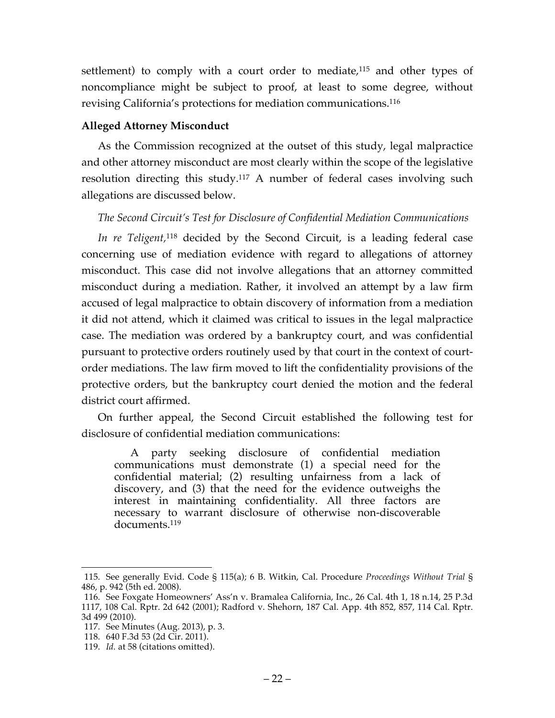settlement) to comply with a court order to mediate,<sup>115</sup> and other types of noncompliance might be subject to proof, at least to some degree, without revising California's protections for mediation communications.116

## **Alleged Attorney Misconduct**

As the Commission recognized at the outset of this study, legal malpractice and other attorney misconduct are most clearly within the scope of the legislative resolution directing this study.117 A number of federal cases involving such allegations are discussed below.

# *The Second Circuit's Test for Disclosure of Confidential Mediation Communications*

*In re Teligent,*<sup>118</sup> decided by the Second Circuit, is a leading federal case concerning use of mediation evidence with regard to allegations of attorney misconduct. This case did not involve allegations that an attorney committed misconduct during a mediation. Rather, it involved an attempt by a law firm accused of legal malpractice to obtain discovery of information from a mediation it did not attend, which it claimed was critical to issues in the legal malpractice case. The mediation was ordered by a bankruptcy court, and was confidential pursuant to protective orders routinely used by that court in the context of courtorder mediations. The law firm moved to lift the confidentiality provisions of the protective orders, but the bankruptcy court denied the motion and the federal district court affirmed.

On further appeal, the Second Circuit established the following test for disclosure of confidential mediation communications:

A party seeking disclosure of confidential mediation communications must demonstrate (1) a special need for the confidential material; (2) resulting unfairness from a lack of discovery, and (3) that the need for the evidence outweighs the interest in maintaining confidentiality. All three factors are necessary to warrant disclosure of otherwise non-discoverable documents.119

 <sup>115.</sup> See generally Evid. Code § 115(a); 6 B. Witkin, Cal. Procedure *Proceedings Without Trial* § 486, p. 942 (5th ed. 2008).

<sup>116.</sup> See Foxgate Homeowners' Ass'n v. Bramalea California, Inc., 26 Cal. 4th 1, 18 n.14, 25 P.3d 1117, 108 Cal. Rptr. 2d 642 (2001); Radford v. Shehorn, 187 Cal. App. 4th 852, 857, 114 Cal. Rptr. 3d 499 (2010).

<sup>117.</sup> See Minutes (Aug. 2013), p. 3.

<sup>118.</sup> 640 F.3d 53 (2d Cir. 2011).

<sup>119.</sup> *Id.* at 58 (citations omitted).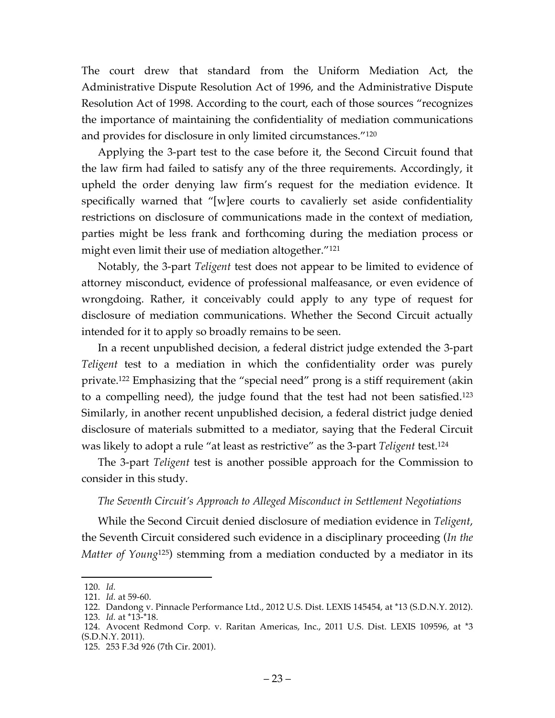The court drew that standard from the Uniform Mediation Act, the Administrative Dispute Resolution Act of 1996, and the Administrative Dispute Resolution Act of 1998. According to the court, each of those sources "recognizes the importance of maintaining the confidentiality of mediation communications and provides for disclosure in only limited circumstances."120

Applying the 3-part test to the case before it, the Second Circuit found that the law firm had failed to satisfy any of the three requirements. Accordingly, it upheld the order denying law firm's request for the mediation evidence. It specifically warned that "[w]ere courts to cavalierly set aside confidentiality restrictions on disclosure of communications made in the context of mediation, parties might be less frank and forthcoming during the mediation process or might even limit their use of mediation altogether."121

Notably, the 3-part *Teligent* test does not appear to be limited to evidence of attorney misconduct, evidence of professional malfeasance, or even evidence of wrongdoing. Rather, it conceivably could apply to any type of request for disclosure of mediation communications. Whether the Second Circuit actually intended for it to apply so broadly remains to be seen.

In a recent unpublished decision, a federal district judge extended the 3-part *Teligent* test to a mediation in which the confidentiality order was purely private.122 Emphasizing that the "special need" prong is a stiff requirement (akin to a compelling need), the judge found that the test had not been satisfied.123 Similarly, in another recent unpublished decision, a federal district judge denied disclosure of materials submitted to a mediator, saying that the Federal Circuit was likely to adopt a rule "at least as restrictive" as the 3-part *Teligent* test.124

The 3-part *Teligent* test is another possible approach for the Commission to consider in this study.

## *The Seventh Circuit's Approach to Alleged Misconduct in Settlement Negotiations*

While the Second Circuit denied disclosure of mediation evidence in *Teligent*, the Seventh Circuit considered such evidence in a disciplinary proceeding (*In the Matter of Young*125) stemming from a mediation conducted by a mediator in its

 <sup>120.</sup> *Id.*

<sup>121.</sup> *Id.* at 59-60.

<sup>122.</sup> Dandong v. Pinnacle Performance Ltd., 2012 U.S. Dist. LEXIS 145454, at \*13 (S.D.N.Y. 2012).

<sup>123.</sup> *Id.* at \*13-\*18.

<sup>124.</sup> Avocent Redmond Corp. v. Raritan Americas, Inc., 2011 U.S. Dist. LEXIS 109596, at \*3 (S.D.N.Y. 2011).

<sup>125.</sup> 253 F.3d 926 (7th Cir. 2001).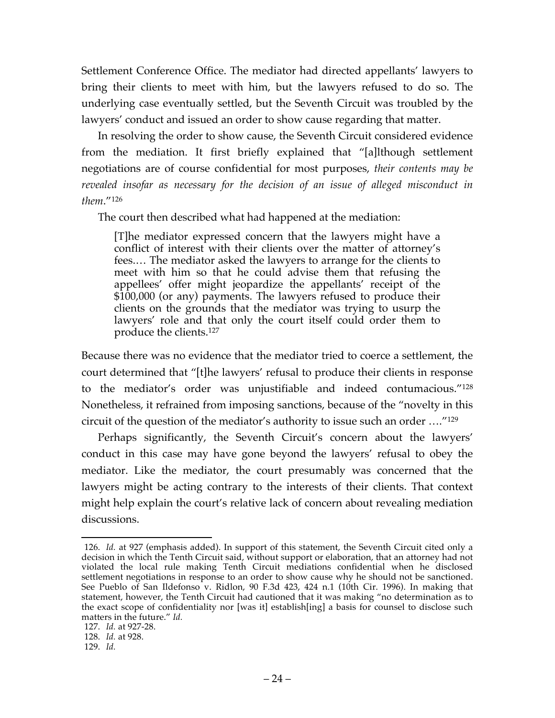Settlement Conference Office. The mediator had directed appellants' lawyers to bring their clients to meet with him, but the lawyers refused to do so. The underlying case eventually settled, but the Seventh Circuit was troubled by the lawyers' conduct and issued an order to show cause regarding that matter.

In resolving the order to show cause, the Seventh Circuit considered evidence from the mediation. It first briefly explained that "[a]lthough settlement negotiations are of course confidential for most purposes, *their contents may be revealed insofar as necessary for the decision of an issue of alleged misconduct in them*."126

The court then described what had happened at the mediation:

[T]he mediator expressed concern that the lawyers might have a conflict of interest with their clients over the matter of attorney's fees.… The mediator asked the lawyers to arrange for the clients to meet with him so that he could advise them that refusing the appellees' offer might jeopardize the appellants' receipt of the \$100,000 (or any) payments. The lawyers refused to produce their clients on the grounds that the mediator was trying to usurp the lawyers' role and that only the court itself could order them to produce the clients.127

Because there was no evidence that the mediator tried to coerce a settlement, the court determined that "[t]he lawyers' refusal to produce their clients in response to the mediator's order was unjustifiable and indeed contumacious."128 Nonetheless, it refrained from imposing sanctions, because of the "novelty in this circuit of the question of the mediator's authority to issue such an order …."129

Perhaps significantly, the Seventh Circuit's concern about the lawyers' conduct in this case may have gone beyond the lawyers' refusal to obey the mediator. Like the mediator, the court presumably was concerned that the lawyers might be acting contrary to the interests of their clients. That context might help explain the court's relative lack of concern about revealing mediation discussions.

 <sup>126.</sup> *Id.* at 927 (emphasis added). In support of this statement, the Seventh Circuit cited only a decision in which the Tenth Circuit said, without support or elaboration, that an attorney had not violated the local rule making Tenth Circuit mediations confidential when he disclosed settlement negotiations in response to an order to show cause why he should not be sanctioned. See Pueblo of San Ildefonso v. Ridlon, 90 F.3d 423, 424 n.1 (10th Cir. 1996). In making that statement, however, the Tenth Circuit had cautioned that it was making "no determination as to the exact scope of confidentiality nor [was it] establish[ing] a basis for counsel to disclose such matters in the future." *Id.*

<sup>127.</sup> *Id.* at 927-28.

<sup>128.</sup> *Id.* at 928.

<sup>129.</sup> *Id.*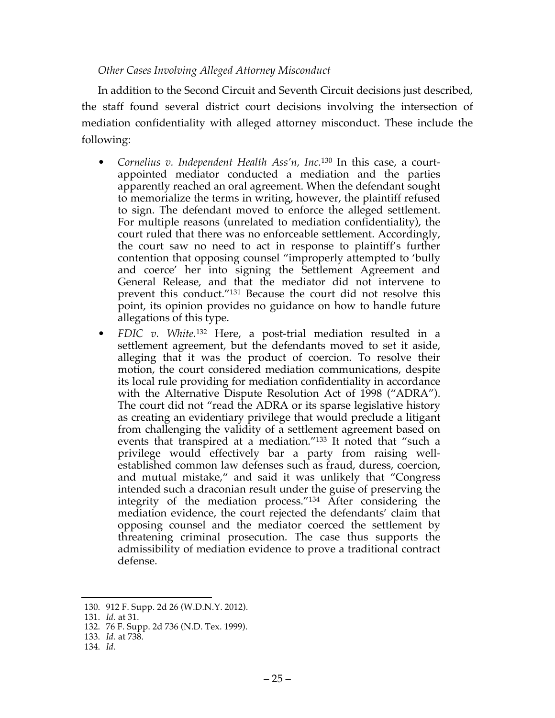#### *Other Cases Involving Alleged Attorney Misconduct*

In addition to the Second Circuit and Seventh Circuit decisions just described, the staff found several district court decisions involving the intersection of mediation confidentiality with alleged attorney misconduct. These include the following:

- *Cornelius v. Independent Health Ass'n, Inc.*<sup>130</sup> In this case, a courtappointed mediator conducted a mediation and the parties apparently reached an oral agreement. When the defendant sought to memorialize the terms in writing, however, the plaintiff refused to sign. The defendant moved to enforce the alleged settlement. For multiple reasons (unrelated to mediation confidentiality), the court ruled that there was no enforceable settlement. Accordingly, the court saw no need to act in response to plaintiff's further contention that opposing counsel "improperly attempted to 'bully and coerce' her into signing the Settlement Agreement and General Release, and that the mediator did not intervene to prevent this conduct."131 Because the court did not resolve this point, its opinion provides no guidance on how to handle future allegations of this type.
- *FDIC v. White.*<sup>132</sup> Here, a post-trial mediation resulted in a settlement agreement, but the defendants moved to set it aside, alleging that it was the product of coercion. To resolve their motion, the court considered mediation communications, despite its local rule providing for mediation confidentiality in accordance with the Alternative Dispute Resolution Act of 1998 ("ADRA"). The court did not "read the ADRA or its sparse legislative history as creating an evidentiary privilege that would preclude a litigant from challenging the validity of a settlement agreement based on events that transpired at a mediation."133 It noted that "such a privilege would effectively bar a party from raising wellestablished common law defenses such as fraud, duress, coercion, and mutual mistake," and said it was unlikely that "Congress intended such a draconian result under the guise of preserving the integrity of the mediation process."134 After considering the mediation evidence, the court rejected the defendants' claim that opposing counsel and the mediator coerced the settlement by threatening criminal prosecution. The case thus supports the admissibility of mediation evidence to prove a traditional contract defense.

134. *Id.*

 <sup>130.</sup> 912 F. Supp. 2d 26 (W.D.N.Y. 2012).

<sup>131.</sup> *Id.* at 31.

<sup>132.</sup> 76 F. Supp. 2d 736 (N.D. Tex. 1999).

<sup>133.</sup> *Id.* at 738.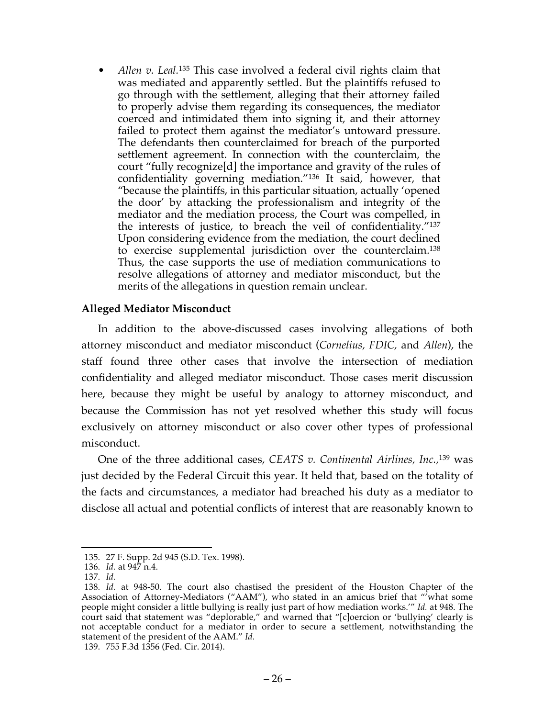• *Allen v. Leal.*<sup>135</sup> This case involved a federal civil rights claim that was mediated and apparently settled. But the plaintiffs refused to go through with the settlement, alleging that their attorney failed to properly advise them regarding its consequences, the mediator coerced and intimidated them into signing it, and their attorney failed to protect them against the mediator's untoward pressure. The defendants then counterclaimed for breach of the purported settlement agreement. In connection with the counterclaim, the court "fully recognize[d] the importance and gravity of the rules of confidentiality governing mediation."<sup>136</sup> It said, however, that "because the plaintiffs, in this particular situation, actually 'opened the door' by attacking the professionalism and integrity of the mediator and the mediation process, the Court was compelled, in the interests of justice, to breach the veil of confidentiality."137 Upon considering evidence from the mediation, the court declined to exercise supplemental jurisdiction over the counterclaim.138 Thus, the case supports the use of mediation communications to resolve allegations of attorney and mediator misconduct, but the merits of the allegations in question remain unclear.

## **Alleged Mediator Misconduct**

In addition to the above-discussed cases involving allegations of both attorney misconduct and mediator misconduct (*Cornelius, FDIC,* and *Allen*), the staff found three other cases that involve the intersection of mediation confidentiality and alleged mediator misconduct. Those cases merit discussion here, because they might be useful by analogy to attorney misconduct, and because the Commission has not yet resolved whether this study will focus exclusively on attorney misconduct or also cover other types of professional misconduct.

One of the three additional cases, *CEATS v. Continental Airlines, Inc.,*<sup>139</sup> was just decided by the Federal Circuit this year. It held that, based on the totality of the facts and circumstances, a mediator had breached his duty as a mediator to disclose all actual and potential conflicts of interest that are reasonably known to

139. 755 F.3d 1356 (Fed. Cir. 2014).

 <sup>135.</sup> 27 F. Supp. 2d 945 (S.D. Tex. 1998).

<sup>136.</sup> *Id.* at 947 n.4.

<sup>137.</sup> *Id.*

<sup>138.</sup> *Id.* at 948-50. The court also chastised the president of the Houston Chapter of the Association of Attorney-Mediators ("AAM"), who stated in an amicus brief that "'what some people might consider a little bullying is really just part of how mediation works.'" *Id.* at 948. The court said that statement was "deplorable," and warned that "[c]oercion or 'bullying' clearly is not acceptable conduct for a mediator in order to secure a settlement, notwithstanding the statement of the president of the AAM." *Id.*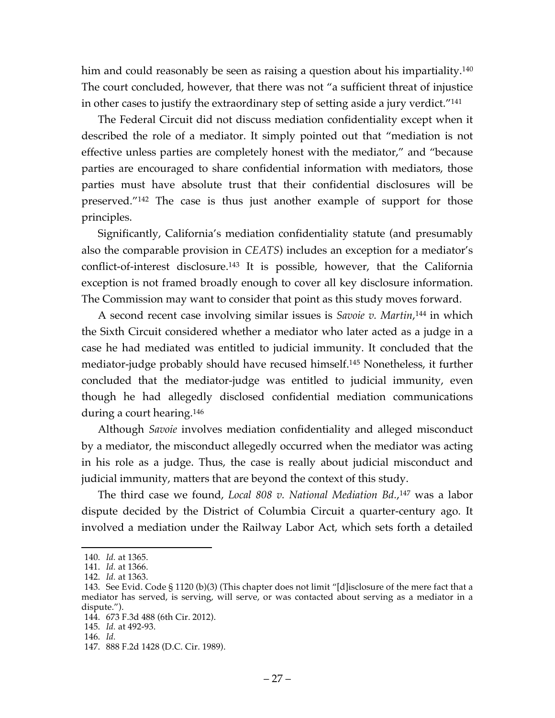him and could reasonably be seen as raising a question about his impartiality.<sup>140</sup> The court concluded, however, that there was not "a sufficient threat of injustice in other cases to justify the extraordinary step of setting aside a jury verdict."141

The Federal Circuit did not discuss mediation confidentiality except when it described the role of a mediator. It simply pointed out that "mediation is not effective unless parties are completely honest with the mediator," and "because parties are encouraged to share confidential information with mediators, those parties must have absolute trust that their confidential disclosures will be preserved."142 The case is thus just another example of support for those principles.

Significantly, California's mediation confidentiality statute (and presumably also the comparable provision in *CEATS*) includes an exception for a mediator's conflict-of-interest disclosure.143 It is possible, however, that the California exception is not framed broadly enough to cover all key disclosure information. The Commission may want to consider that point as this study moves forward.

A second recent case involving similar issues is *Savoie v. Martin*, <sup>144</sup> in which the Sixth Circuit considered whether a mediator who later acted as a judge in a case he had mediated was entitled to judicial immunity. It concluded that the mediator-judge probably should have recused himself.145 Nonetheless, it further concluded that the mediator-judge was entitled to judicial immunity, even though he had allegedly disclosed confidential mediation communications during a court hearing.146

Although *Savoie* involves mediation confidentiality and alleged misconduct by a mediator, the misconduct allegedly occurred when the mediator was acting in his role as a judge. Thus, the case is really about judicial misconduct and judicial immunity, matters that are beyond the context of this study.

The third case we found, *Local 808 v. National Mediation Bd.*, <sup>147</sup> was a labor dispute decided by the District of Columbia Circuit a quarter-century ago. It involved a mediation under the Railway Labor Act, which sets forth a detailed

 <sup>140.</sup> *Id.* at 1365.

<sup>141.</sup> *Id.* at 1366.

<sup>142.</sup> *Id.* at 1363.

<sup>143.</sup> See Evid. Code § 1120 (b)(3) (This chapter does not limit "[d]isclosure of the mere fact that a mediator has served, is serving, will serve, or was contacted about serving as a mediator in a dispute.").

<sup>144.</sup> 673 F.3d 488 (6th Cir. 2012).

<sup>145.</sup> *Id.* at 492-93.

<sup>146.</sup> *Id.*

<sup>147.</sup> 888 F.2d 1428 (D.C. Cir. 1989).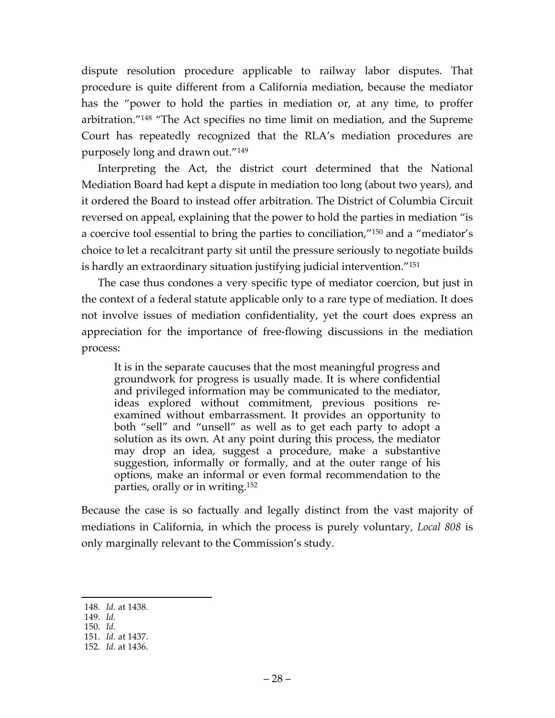dispute resolution procedure applicable to railway labor disputes. That procedure is quite different from a California mediation, because the mediator has the "power to hold the parties in mediation or, at any time, to proffer arbitration."148 "The Act specifies no time limit on mediation, and the Supreme Court has repeatedly recognized that the RLA's mediation procedures are purposely long and drawn out."149

Interpreting the Act, the district court determined that the National Mediation Board had kept a dispute in mediation too long (about two years), and it ordered the Board to instead offer arbitration. The District of Columbia Circuit reversed on appeal, explaining that the power to hold the parties in mediation "is a coercive tool essential to bring the parties to conciliation,"150 and a "mediator's choice to let a recalcitrant party sit until the pressure seriously to negotiate builds is hardly an extraordinary situation justifying judicial intervention."151

The case thus condones a very specific type of mediator coercion, but just in the context of a federal statute applicable only to a rare type of mediation. It does not involve issues of mediation confidentiality, yet the court does express an appreciation for the importance of free-flowing discussions in the mediation process:

It is in the separate caucuses that the most meaningful progress and groundwork for progress is usually made. It is where confidential and privileged information may be communicated to the mediator, ideas explored without commitment, previous positions reexamined without embarrassment. It provides an opportunity to both "sell" and "unsell" as well as to get each party to adopt a solution as its own. At any point during this process, the mediator may drop an idea, suggest a procedure, make a substantive suggestion, informally or formally, and at the outer range of his options, make an informal or even formal recommendation to the parties, orally or in writing.152

Because the case is so factually and legally distinct from the vast majority of mediations in California, in which the process is purely voluntary, *Local 808* is only marginally relevant to the Commission's study.

 <sup>148.</sup> *Id.* at 1438.

<sup>149.</sup> *Id.*

<sup>150.</sup> *Id.*

<sup>151.</sup> *Id.* at 1437.

<sup>152.</sup> *Id.* at 1436.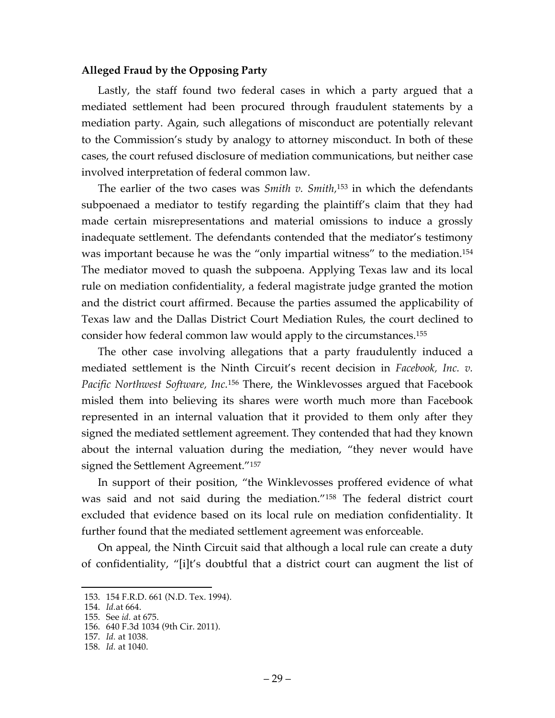#### **Alleged Fraud by the Opposing Party**

Lastly, the staff found two federal cases in which a party argued that a mediated settlement had been procured through fraudulent statements by a mediation party. Again, such allegations of misconduct are potentially relevant to the Commission's study by analogy to attorney misconduct. In both of these cases, the court refused disclosure of mediation communications, but neither case involved interpretation of federal common law.

The earlier of the two cases was *Smith v. Smith,*<sup>153</sup> in which the defendants subpoenaed a mediator to testify regarding the plaintiff's claim that they had made certain misrepresentations and material omissions to induce a grossly inadequate settlement. The defendants contended that the mediator's testimony was important because he was the "only impartial witness" to the mediation.154 The mediator moved to quash the subpoena. Applying Texas law and its local rule on mediation confidentiality, a federal magistrate judge granted the motion and the district court affirmed. Because the parties assumed the applicability of Texas law and the Dallas District Court Mediation Rules, the court declined to consider how federal common law would apply to the circumstances.155

The other case involving allegations that a party fraudulently induced a mediated settlement is the Ninth Circuit's recent decision in *Facebook, Inc. v. Pacific Northwest Software, Inc.*<sup>156</sup> There, the Winklevosses argued that Facebook misled them into believing its shares were worth much more than Facebook represented in an internal valuation that it provided to them only after they signed the mediated settlement agreement. They contended that had they known about the internal valuation during the mediation, "they never would have signed the Settlement Agreement."157

In support of their position, "the Winklevosses proffered evidence of what was said and not said during the mediation."158 The federal district court excluded that evidence based on its local rule on mediation confidentiality. It further found that the mediated settlement agreement was enforceable.

On appeal, the Ninth Circuit said that although a local rule can create a duty of confidentiality, "[i]t's doubtful that a district court can augment the list of

157. *Id.* at 1038.

 <sup>153.</sup> 154 F.R.D. 661 (N.D. Tex. 1994).

<sup>154.</sup> *Id.*at 664.

<sup>155.</sup> See *id.* at 675.

<sup>156.</sup> 640 F.3d 1034 (9th Cir. 2011).

<sup>158.</sup> *Id.* at 1040.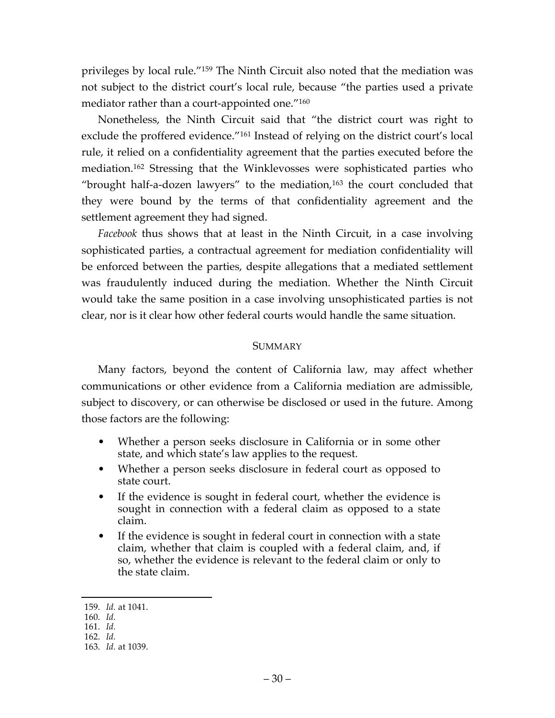privileges by local rule."159 The Ninth Circuit also noted that the mediation was not subject to the district court's local rule, because "the parties used a private mediator rather than a court-appointed one."160

Nonetheless, the Ninth Circuit said that "the district court was right to exclude the proffered evidence."161 Instead of relying on the district court's local rule, it relied on a confidentiality agreement that the parties executed before the mediation.162 Stressing that the Winklevosses were sophisticated parties who "brought half-a-dozen lawyers" to the mediation,163 the court concluded that they were bound by the terms of that confidentiality agreement and the settlement agreement they had signed.

*Facebook* thus shows that at least in the Ninth Circuit, in a case involving sophisticated parties, a contractual agreement for mediation confidentiality will be enforced between the parties, despite allegations that a mediated settlement was fraudulently induced during the mediation. Whether the Ninth Circuit would take the same position in a case involving unsophisticated parties is not clear, nor is it clear how other federal courts would handle the same situation.

#### SUMMARY

Many factors, beyond the content of California law, may affect whether communications or other evidence from a California mediation are admissible, subject to discovery, or can otherwise be disclosed or used in the future. Among those factors are the following:

- Whether a person seeks disclosure in California or in some other state, and which state's law applies to the request.
- Whether a person seeks disclosure in federal court as opposed to state court.
- If the evidence is sought in federal court, whether the evidence is sought in connection with a federal claim as opposed to a state claim.
- If the evidence is sought in federal court in connection with a state claim, whether that claim is coupled with a federal claim, and, if so, whether the evidence is relevant to the federal claim or only to the state claim.

 <sup>159.</sup> *Id.* at 1041.

<sup>160.</sup> *Id.*

<sup>161.</sup> *Id.*

<sup>162.</sup> *Id.*

<sup>163.</sup> *Id.* at 1039.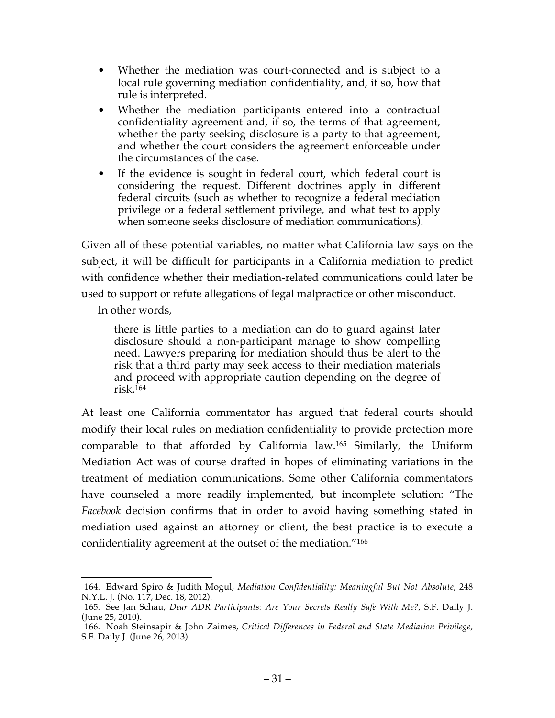- Whether the mediation was court-connected and is subject to a local rule governing mediation confidentiality, and, if so, how that rule is interpreted.
- Whether the mediation participants entered into a contractual confidentiality agreement and, if so, the terms of that agreement, whether the party seeking disclosure is a party to that agreement, and whether the court considers the agreement enforceable under the circumstances of the case.
- If the evidence is sought in federal court, which federal court is considering the request. Different doctrines apply in different federal circuits (such as whether to recognize a federal mediation privilege or a federal settlement privilege, and what test to apply when someone seeks disclosure of mediation communications).

Given all of these potential variables, no matter what California law says on the subject, it will be difficult for participants in a California mediation to predict with confidence whether their mediation-related communications could later be used to support or refute allegations of legal malpractice or other misconduct.

In other words,

there is little parties to a mediation can do to guard against later disclosure should a non-participant manage to show compelling need. Lawyers preparing for mediation should thus be alert to the risk that a third party may seek access to their mediation materials and proceed with appropriate caution depending on the degree of  $risk<sup>164</sup>$ 

At least one California commentator has argued that federal courts should modify their local rules on mediation confidentiality to provide protection more comparable to that afforded by California law.165 Similarly, the Uniform Mediation Act was of course drafted in hopes of eliminating variations in the treatment of mediation communications. Some other California commentators have counseled a more readily implemented, but incomplete solution: "The *Facebook* decision confirms that in order to avoid having something stated in mediation used against an attorney or client, the best practice is to execute a confidentiality agreement at the outset of the mediation."166

 <sup>164.</sup> Edward Spiro & Judith Mogul, *Mediation Confidentiality: Meaningful But Not Absolute*, 248 N.Y.L. J. (No. 117, Dec. 18, 2012).

<sup>165.</sup> See Jan Schau, *Dear ADR Participants: Are Your Secrets Really Safe With Me?*, S.F. Daily J. (June 25, 2010).

<sup>166.</sup> Noah Steinsapir & John Zaimes, *Critical Differences in Federal and State Mediation Privilege,* S.F. Daily J. (June 26, 2013).